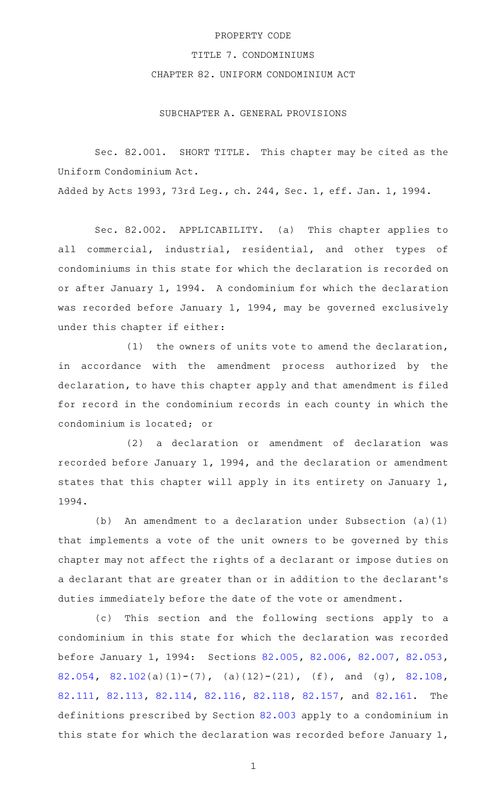## PROPERTY CODE

## TITLE 7. CONDOMINIUMS

# CHAPTER 82. UNIFORM CONDOMINIUM ACT

## SUBCHAPTER A. GENERAL PROVISIONS

Sec. 82.001. SHORT TITLE. This chapter may be cited as the Uniform Condominium Act.

Added by Acts 1993, 73rd Leg., ch. 244, Sec. 1, eff. Jan. 1, 1994.

Sec. 82.002. APPLICABILITY. (a) This chapter applies to all commercial, industrial, residential, and other types of condominiums in this state for which the declaration is recorded on or after January 1, 1994. A condominium for which the declaration was recorded before January 1, 1994, may be governed exclusively under this chapter if either:

(1) the owners of units vote to amend the declaration, in accordance with the amendment process authorized by the declaration, to have this chapter apply and that amendment is filed for record in the condominium records in each county in which the condominium is located; or

(2) a declaration or amendment of declaration was recorded before January 1, 1994, and the declaration or amendment states that this chapter will apply in its entirety on January 1, 1994.

(b) An amendment to a declaration under Subsection  $(a)(1)$ that implements a vote of the unit owners to be governed by this chapter may not affect the rights of a declarant or impose duties on a declarant that are greater than or in addition to the declarant 's duties immediately before the date of the vote or amendment.

(c) This section and the following sections apply to a condominium in this state for which the declaration was recorded before January 1, 1994: Sections [82.005](http://www.statutes.legis.state.tx.us/GetStatute.aspx?Code=PR&Value=82.005), [82.006,](http://www.statutes.legis.state.tx.us/GetStatute.aspx?Code=PR&Value=82.006) [82.007,](http://www.statutes.legis.state.tx.us/GetStatute.aspx?Code=PR&Value=82.007) [82.053](http://www.statutes.legis.state.tx.us/GetStatute.aspx?Code=PR&Value=82.053), [82.054](http://www.statutes.legis.state.tx.us/GetStatute.aspx?Code=PR&Value=82.054), [82.102\(](http://www.statutes.legis.state.tx.us/GetStatute.aspx?Code=PR&Value=82.102)a)(1)-(7), (a)(12)-(21), (f), and (g), [82.108](http://www.statutes.legis.state.tx.us/GetStatute.aspx?Code=PR&Value=82.108), [82.111](http://www.statutes.legis.state.tx.us/GetStatute.aspx?Code=PR&Value=82.111), [82.113](http://www.statutes.legis.state.tx.us/GetStatute.aspx?Code=PR&Value=82.113), [82.114,](http://www.statutes.legis.state.tx.us/GetStatute.aspx?Code=PR&Value=82.114) [82.116,](http://www.statutes.legis.state.tx.us/GetStatute.aspx?Code=PR&Value=82.116) [82.118,](http://www.statutes.legis.state.tx.us/GetStatute.aspx?Code=PR&Value=82.118) [82.157](http://www.statutes.legis.state.tx.us/GetStatute.aspx?Code=PR&Value=82.157), and [82.161.](http://www.statutes.legis.state.tx.us/GetStatute.aspx?Code=PR&Value=82.161) The definitions prescribed by Section [82.003](http://www.statutes.legis.state.tx.us/GetStatute.aspx?Code=PR&Value=82.003) apply to a condominium in this state for which the declaration was recorded before January 1,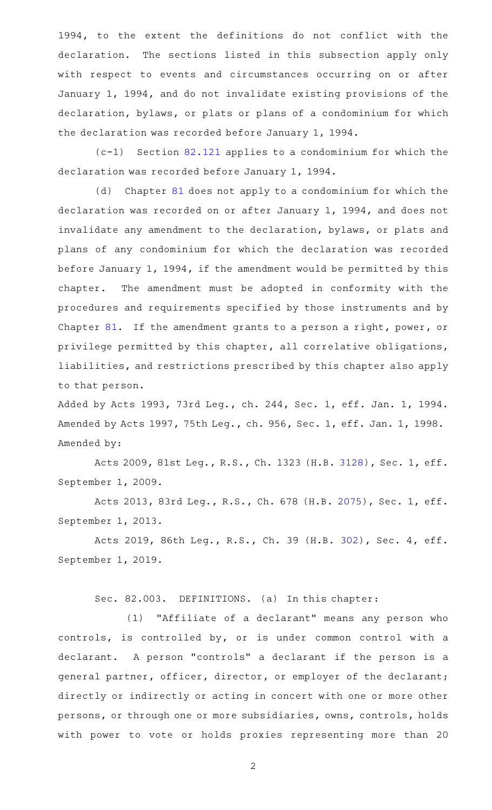1994, to the extent the definitions do not conflict with the declaration. The sections listed in this subsection apply only with respect to events and circumstances occurring on or after January 1, 1994, and do not invalidate existing provisions of the declaration, bylaws, or plats or plans of a condominium for which the declaration was recorded before January 1, 1994.

 $(c-1)$  Section [82.121](http://www.statutes.legis.state.tx.us/GetStatute.aspx?Code=PR&Value=82.121) applies to a condominium for which the declaration was recorded before January 1, 1994.

(d) Chapter [81](http://www.statutes.legis.state.tx.us/GetStatute.aspx?Code=PR&Value=81) does not apply to a condominium for which the declaration was recorded on or after January 1, 1994, and does not invalidate any amendment to the declaration, bylaws, or plats and plans of any condominium for which the declaration was recorded before January 1, 1994, if the amendment would be permitted by this chapter. The amendment must be adopted in conformity with the procedures and requirements specified by those instruments and by Chapter [81.](http://www.statutes.legis.state.tx.us/GetStatute.aspx?Code=PR&Value=81) If the amendment grants to a person a right, power, or privilege permitted by this chapter, all correlative obligations, liabilities, and restrictions prescribed by this chapter also apply to that person.

Added by Acts 1993, 73rd Leg., ch. 244, Sec. 1, eff. Jan. 1, 1994. Amended by Acts 1997, 75th Leg., ch. 956, Sec. 1, eff. Jan. 1, 1998. Amended by:

Acts 2009, 81st Leg., R.S., Ch. 1323 (H.B. [3128](http://www.legis.state.tx.us/tlodocs/81R/billtext/html/HB03128F.HTM)), Sec. 1, eff. September 1, 2009.

Acts 2013, 83rd Leg., R.S., Ch. 678 (H.B. [2075](http://www.legis.state.tx.us/tlodocs/83R/billtext/html/HB02075F.HTM)), Sec. 1, eff. September 1, 2013.

Acts 2019, 86th Leg., R.S., Ch. 39 (H.B. [302](http://www.legis.state.tx.us/tlodocs/86R/billtext/html/HB00302F.HTM)), Sec. 4, eff. September 1, 2019.

Sec. 82.003. DEFINITIONS. (a) In this chapter:

(1) "Affiliate of a declarant" means any person who controls, is controlled by, or is under common control with a declarant. A person "controls" a declarant if the person is a general partner, officer, director, or employer of the declarant; directly or indirectly or acting in concert with one or more other persons, or through one or more subsidiaries, owns, controls, holds with power to vote or holds proxies representing more than 20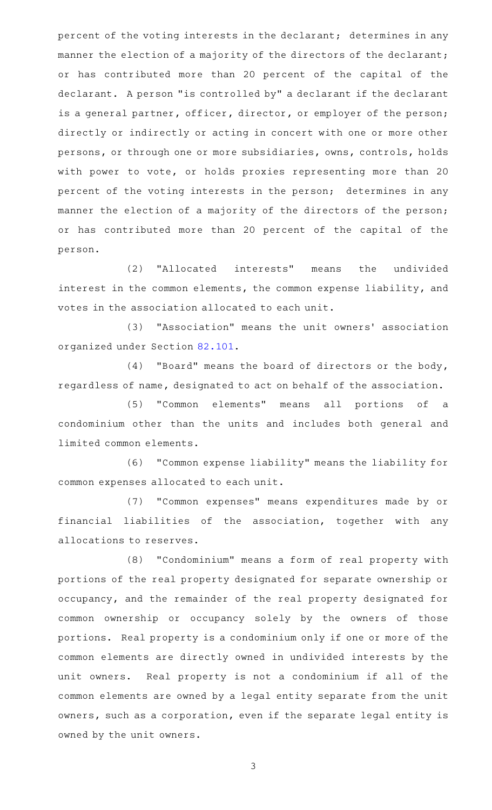percent of the voting interests in the declarant; determines in any manner the election of a majority of the directors of the declarant; or has contributed more than 20 percent of the capital of the declarant. A person "is controlled by" a declarant if the declarant is a general partner, officer, director, or employer of the person; directly or indirectly or acting in concert with one or more other persons, or through one or more subsidiaries, owns, controls, holds with power to vote, or holds proxies representing more than 20 percent of the voting interests in the person; determines in any manner the election of a majority of the directors of the person; or has contributed more than 20 percent of the capital of the person.

(2) "Allocated interests" means the undivided interest in the common elements, the common expense liability, and votes in the association allocated to each unit.

(3) "Association" means the unit owners' association organized under Section [82.101.](http://www.statutes.legis.state.tx.us/GetStatute.aspx?Code=PR&Value=82.101)

 $(4)$  "Board" means the board of directors or the body, regardless of name, designated to act on behalf of the association.

(5) "Common elements" means all portions of a condominium other than the units and includes both general and limited common elements.

(6) "Common expense liability" means the liability for common expenses allocated to each unit.

(7) "Common expenses" means expenditures made by or financial liabilities of the association, together with any allocations to reserves.

(8) "Condominium" means a form of real property with portions of the real property designated for separate ownership or occupancy, and the remainder of the real property designated for common ownership or occupancy solely by the owners of those portions. Real property is a condominium only if one or more of the common elements are directly owned in undivided interests by the unit owners. Real property is not a condominium if all of the common elements are owned by a legal entity separate from the unit owners, such as a corporation, even if the separate legal entity is owned by the unit owners.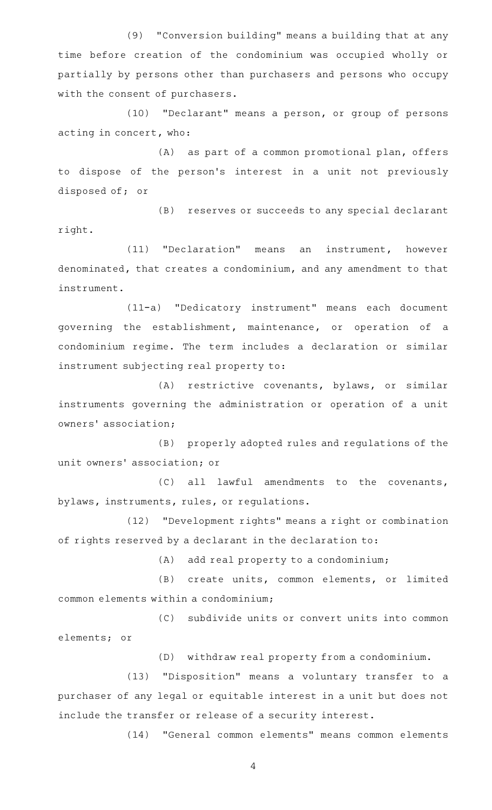(9) "Conversion building" means a building that at any time before creation of the condominium was occupied wholly or partially by persons other than purchasers and persons who occupy with the consent of purchasers.

(10) "Declarant" means a person, or group of persons acting in concert, who:

(A) as part of a common promotional plan, offers to dispose of the person 's interest in a unit not previously disposed of; or

(B) reserves or succeeds to any special declarant right.

(11) "Declaration" means an instrument, however denominated, that creates a condominium, and any amendment to that instrument.

(11-a) "Dedicatory instrument" means each document governing the establishment, maintenance, or operation of a condominium regime. The term includes a declaration or similar instrument subjecting real property to:

(A) restrictive covenants, bylaws, or similar instruments governing the administration or operation of a unit owners' association;

(B) properly adopted rules and regulations of the unit owners' association; or

 $(C)$  all lawful amendments to the covenants, bylaws, instruments, rules, or regulations.

(12) "Development rights" means a right or combination of rights reserved by a declarant in the declaration to:

(A) add real property to a condominium;

(B) create units, common elements, or limited common elements within a condominium;

(C) subdivide units or convert units into common elements; or

(D) withdraw real property from a condominium.

(13) "Disposition" means a voluntary transfer to a purchaser of any legal or equitable interest in a unit but does not include the transfer or release of a security interest.

(14) "General common elements" means common elements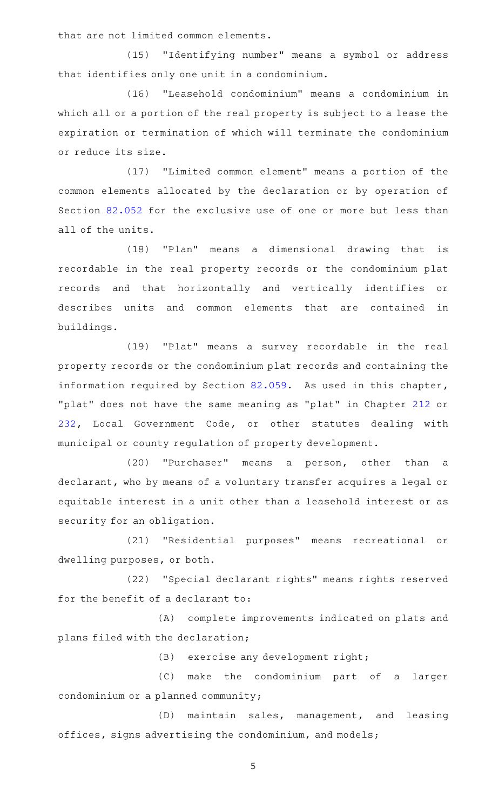that are not limited common elements.

(15) "Identifying number" means a symbol or address that identifies only one unit in a condominium.

(16) "Leasehold condominium" means a condominium in which all or a portion of the real property is subject to a lease the expiration or termination of which will terminate the condominium or reduce its size.

(17) "Limited common element" means a portion of the common elements allocated by the declaration or by operation of Section [82.052](http://www.statutes.legis.state.tx.us/GetStatute.aspx?Code=PR&Value=82.052) for the exclusive use of one or more but less than all of the units.

(18) "Plan" means a dimensional drawing that is recordable in the real property records or the condominium plat records and that horizontally and vertically identifies or describes units and common elements that are contained in buildings.

(19) "Plat" means a survey recordable in the real property records or the condominium plat records and containing the information required by Section [82.059.](http://www.statutes.legis.state.tx.us/GetStatute.aspx?Code=PR&Value=82.059) As used in this chapter, "plat" does not have the same meaning as "plat" in Chapter [212](http://www.statutes.legis.state.tx.us/GetStatute.aspx?Code=LG&Value=212) or [232,](http://www.statutes.legis.state.tx.us/GetStatute.aspx?Code=LG&Value=232) Local Government Code, or other statutes dealing with municipal or county regulation of property development.

(20) "Purchaser" means a person, other than a declarant, who by means of a voluntary transfer acquires a legal or equitable interest in a unit other than a leasehold interest or as security for an obligation.

(21) "Residential purposes" means recreational or dwelling purposes, or both.

(22) "Special declarant rights" means rights reserved for the benefit of a declarant to:

(A) complete improvements indicated on plats and plans filed with the declaration;

(B) exercise any development right;

(C) make the condominium part of a larger condominium or a planned community;

(D) maintain sales, management, and leasing offices, signs advertising the condominium, and models;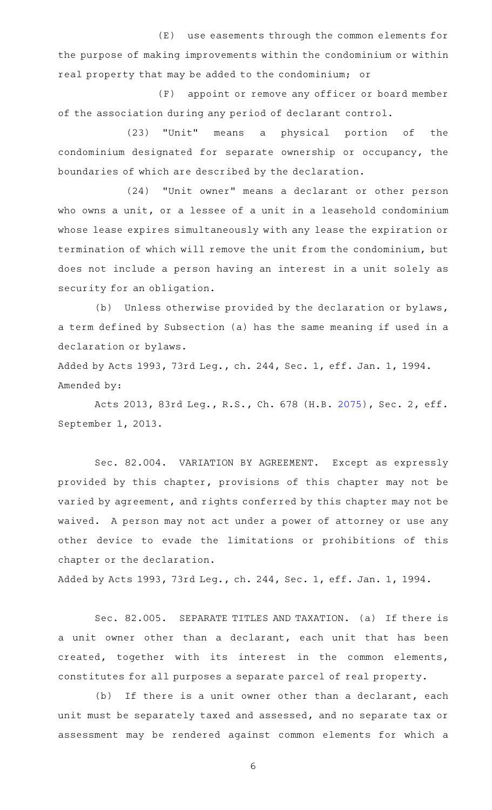(E) use easements through the common elements for the purpose of making improvements within the condominium or within real property that may be added to the condominium; or

(F) appoint or remove any officer or board member of the association during any period of declarant control.

(23) "Unit" means a physical portion of the condominium designated for separate ownership or occupancy, the boundaries of which are described by the declaration.

(24) "Unit owner" means a declarant or other person who owns a unit, or a lessee of a unit in a leasehold condominium whose lease expires simultaneously with any lease the expiration or termination of which will remove the unit from the condominium, but does not include a person having an interest in a unit solely as security for an obligation.

(b) Unless otherwise provided by the declaration or bylaws, a term defined by Subsection (a) has the same meaning if used in a declaration or bylaws.

Added by Acts 1993, 73rd Leg., ch. 244, Sec. 1, eff. Jan. 1, 1994. Amended by:

Acts 2013, 83rd Leg., R.S., Ch. 678 (H.B. [2075](http://www.legis.state.tx.us/tlodocs/83R/billtext/html/HB02075F.HTM)), Sec. 2, eff. September 1, 2013.

Sec. 82.004. VARIATION BY AGREEMENT. Except as expressly provided by this chapter, provisions of this chapter may not be varied by agreement, and rights conferred by this chapter may not be waived. A person may not act under a power of attorney or use any other device to evade the limitations or prohibitions of this chapter or the declaration.

Added by Acts 1993, 73rd Leg., ch. 244, Sec. 1, eff. Jan. 1, 1994.

Sec. 82.005. SEPARATE TITLES AND TAXATION. (a) If there is a unit owner other than a declarant, each unit that has been created, together with its interest in the common elements, constitutes for all purposes a separate parcel of real property.

 $(b)$  If there is a unit owner other than a declarant, each unit must be separately taxed and assessed, and no separate tax or assessment may be rendered against common elements for which a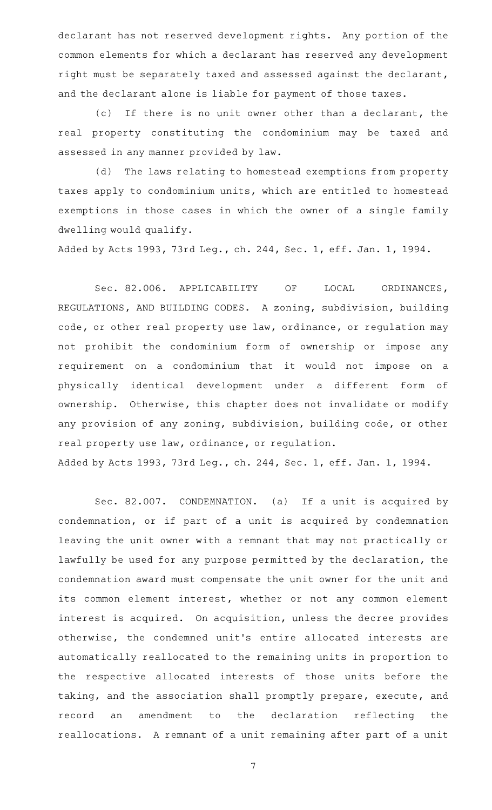declarant has not reserved development rights. Any portion of the common elements for which a declarant has reserved any development right must be separately taxed and assessed against the declarant, and the declarant alone is liable for payment of those taxes.

(c) If there is no unit owner other than a declarant, the real property constituting the condominium may be taxed and assessed in any manner provided by law.

(d) The laws relating to homestead exemptions from property taxes apply to condominium units, which are entitled to homestead exemptions in those cases in which the owner of a single family dwelling would qualify.

Added by Acts 1993, 73rd Leg., ch. 244, Sec. 1, eff. Jan. 1, 1994.

Sec. 82.006. APPLICABILITY OF LOCAL ORDINANCES, REGULATIONS, AND BUILDING CODES. A zoning, subdivision, building code, or other real property use law, ordinance, or regulation may not prohibit the condominium form of ownership or impose any requirement on a condominium that it would not impose on a physically identical development under a different form of ownership. Otherwise, this chapter does not invalidate or modify any provision of any zoning, subdivision, building code, or other real property use law, ordinance, or regulation. Added by Acts 1993, 73rd Leg., ch. 244, Sec. 1, eff. Jan. 1, 1994.

Sec. 82.007. CONDEMNATION. (a) If a unit is acquired by condemnation, or if part of a unit is acquired by condemnation leaving the unit owner with a remnant that may not practically or lawfully be used for any purpose permitted by the declaration, the condemnation award must compensate the unit owner for the unit and its common element interest, whether or not any common element interest is acquired. On acquisition, unless the decree provides otherwise, the condemned unit 's entire allocated interests are automatically reallocated to the remaining units in proportion to the respective allocated interests of those units before the taking, and the association shall promptly prepare, execute, and record an amendment to the declaration reflecting the reallocations. A remnant of a unit remaining after part of a unit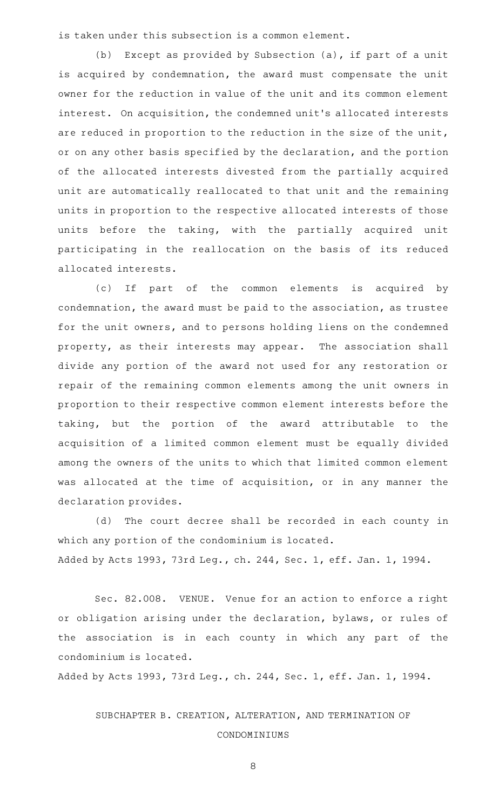is taken under this subsection is a common element.

(b) Except as provided by Subsection (a), if part of a unit is acquired by condemnation, the award must compensate the unit owner for the reduction in value of the unit and its common element interest. On acquisition, the condemned unit 's allocated interests are reduced in proportion to the reduction in the size of the unit, or on any other basis specified by the declaration, and the portion of the allocated interests divested from the partially acquired unit are automatically reallocated to that unit and the remaining units in proportion to the respective allocated interests of those units before the taking, with the partially acquired unit participating in the reallocation on the basis of its reduced allocated interests.

(c) If part of the common elements is acquired by condemnation, the award must be paid to the association, as trustee for the unit owners, and to persons holding liens on the condemned property, as their interests may appear. The association shall divide any portion of the award not used for any restoration or repair of the remaining common elements among the unit owners in proportion to their respective common element interests before the taking, but the portion of the award attributable to the acquisition of a limited common element must be equally divided among the owners of the units to which that limited common element was allocated at the time of acquisition, or in any manner the declaration provides.

(d) The court decree shall be recorded in each county in which any portion of the condominium is located. Added by Acts 1993, 73rd Leg., ch. 244, Sec. 1, eff. Jan. 1, 1994.

Sec. 82.008. VENUE. Venue for an action to enforce a right or obligation arising under the declaration, bylaws, or rules of the association is in each county in which any part of the condominium is located.

Added by Acts 1993, 73rd Leg., ch. 244, Sec. 1, eff. Jan. 1, 1994.

SUBCHAPTER B. CREATION, ALTERATION, AND TERMINATION OF CONDOMINIUMS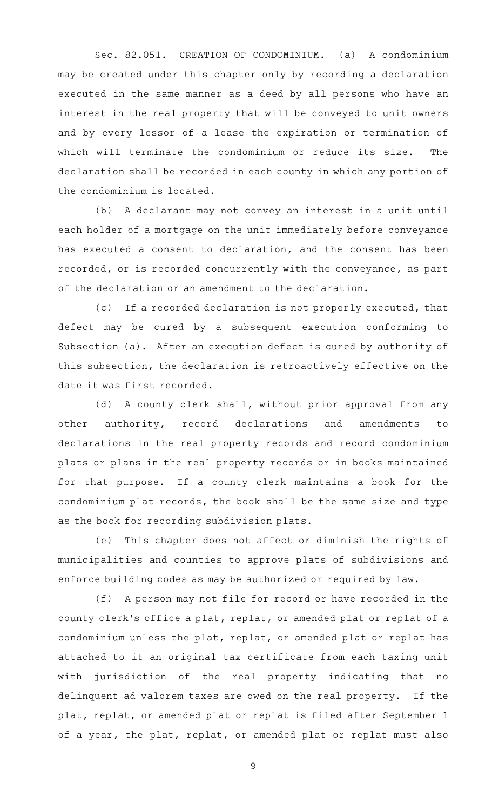Sec. 82.051. CREATION OF CONDOMINIUM. (a) A condominium may be created under this chapter only by recording a declaration executed in the same manner as a deed by all persons who have an interest in the real property that will be conveyed to unit owners and by every lessor of a lease the expiration or termination of which will terminate the condominium or reduce its size. The declaration shall be recorded in each county in which any portion of the condominium is located.

(b) A declarant may not convey an interest in a unit until each holder of a mortgage on the unit immediately before conveyance has executed a consent to declaration, and the consent has been recorded, or is recorded concurrently with the conveyance, as part of the declaration or an amendment to the declaration.

(c) If a recorded declaration is not properly executed, that defect may be cured by a subsequent execution conforming to Subsection (a). After an execution defect is cured by authority of this subsection, the declaration is retroactively effective on the date it was first recorded.

(d) A county clerk shall, without prior approval from any other authority, record declarations and amendments to declarations in the real property records and record condominium plats or plans in the real property records or in books maintained for that purpose. If a county clerk maintains a book for the condominium plat records, the book shall be the same size and type as the book for recording subdivision plats.

(e) This chapter does not affect or diminish the rights of municipalities and counties to approve plats of subdivisions and enforce building codes as may be authorized or required by law.

(f) A person may not file for record or have recorded in the county clerk 's office a plat, replat, or amended plat or replat of a condominium unless the plat, replat, or amended plat or replat has attached to it an original tax certificate from each taxing unit with jurisdiction of the real property indicating that no delinquent ad valorem taxes are owed on the real property. If the plat, replat, or amended plat or replat is filed after September 1 of a year, the plat, replat, or amended plat or replat must also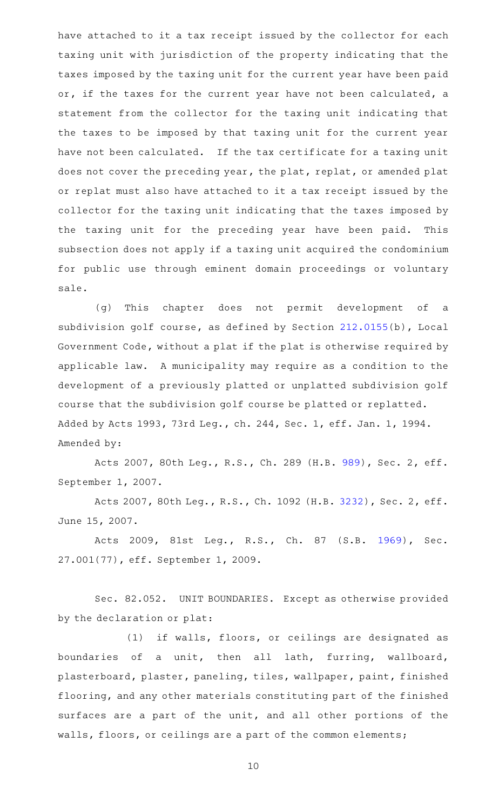have attached to it a tax receipt issued by the collector for each taxing unit with jurisdiction of the property indicating that the taxes imposed by the taxing unit for the current year have been paid or, if the taxes for the current year have not been calculated, a statement from the collector for the taxing unit indicating that the taxes to be imposed by that taxing unit for the current year have not been calculated. If the tax certificate for a taxing unit does not cover the preceding year, the plat, replat, or amended plat or replat must also have attached to it a tax receipt issued by the collector for the taxing unit indicating that the taxes imposed by the taxing unit for the preceding year have been paid. This subsection does not apply if a taxing unit acquired the condominium for public use through eminent domain proceedings or voluntary sale.

(g) This chapter does not permit development of a subdivision golf course, as defined by Section [212.0155](http://www.statutes.legis.state.tx.us/GetStatute.aspx?Code=LG&Value=212.0155)(b), Local Government Code, without a plat if the plat is otherwise required by applicable law. A municipality may require as a condition to the development of a previously platted or unplatted subdivision golf course that the subdivision golf course be platted or replatted. Added by Acts 1993, 73rd Leg., ch. 244, Sec. 1, eff. Jan. 1, 1994. Amended by:

Acts 2007, 80th Leg., R.S., Ch. 289 (H.B. [989](http://www.legis.state.tx.us/tlodocs/80R/billtext/html/HB00989F.HTM)), Sec. 2, eff. September 1, 2007.

Acts 2007, 80th Leg., R.S., Ch. 1092 (H.B. [3232](http://www.legis.state.tx.us/tlodocs/80R/billtext/html/HB03232F.HTM)), Sec. 2, eff. June 15, 2007.

Acts 2009, 81st Leg., R.S., Ch. 87 (S.B. [1969\)](http://www.legis.state.tx.us/tlodocs/81R/billtext/html/SB01969F.HTM), Sec. 27.001(77), eff. September 1, 2009.

Sec. 82.052. UNIT BOUNDARIES. Except as otherwise provided by the declaration or plat:

(1) if walls, floors, or ceilings are designated as boundaries of a unit, then all lath, furring, wallboard, plasterboard, plaster, paneling, tiles, wallpaper, paint, finished flooring, and any other materials constituting part of the finished surfaces are a part of the unit, and all other portions of the walls, floors, or ceilings are a part of the common elements;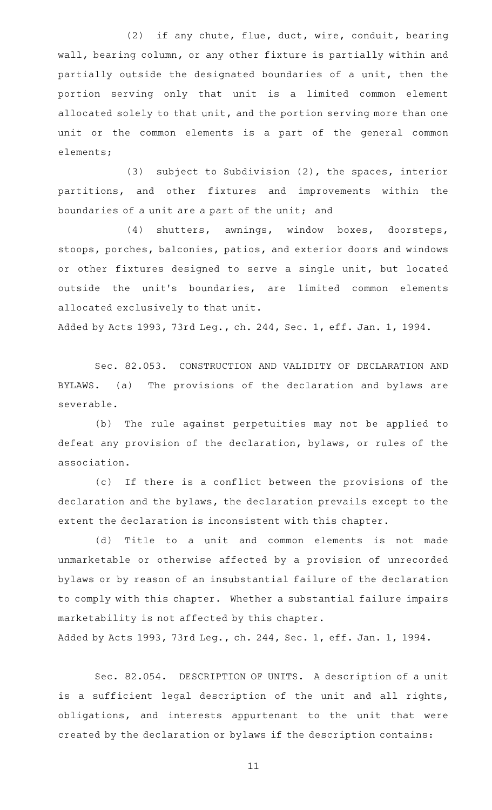(2) if any chute, flue, duct, wire, conduit, bearing wall, bearing column, or any other fixture is partially within and partially outside the designated boundaries of a unit, then the portion serving only that unit is a limited common element allocated solely to that unit, and the portion serving more than one unit or the common elements is a part of the general common elements;

(3) subject to Subdivision  $(2)$ , the spaces, interior partitions, and other fixtures and improvements within the boundaries of a unit are a part of the unit; and

(4) shutters, awnings, window boxes, doorsteps, stoops, porches, balconies, patios, and exterior doors and windows or other fixtures designed to serve a single unit, but located outside the unit's boundaries, are limited common elements allocated exclusively to that unit.

Added by Acts 1993, 73rd Leg., ch. 244, Sec. 1, eff. Jan. 1, 1994.

Sec. 82.053. CONSTRUCTION AND VALIDITY OF DECLARATION AND BYLAWS. (a) The provisions of the declaration and bylaws are severable.

(b) The rule against perpetuities may not be applied to defeat any provision of the declaration, bylaws, or rules of the association.

(c) If there is a conflict between the provisions of the declaration and the bylaws, the declaration prevails except to the extent the declaration is inconsistent with this chapter.

(d) Title to a unit and common elements is not made unmarketable or otherwise affected by a provision of unrecorded bylaws or by reason of an insubstantial failure of the declaration to comply with this chapter. Whether a substantial failure impairs marketability is not affected by this chapter.

Added by Acts 1993, 73rd Leg., ch. 244, Sec. 1, eff. Jan. 1, 1994.

Sec. 82.054. DESCRIPTION OF UNITS. A description of a unit is a sufficient legal description of the unit and all rights, obligations, and interests appurtenant to the unit that were created by the declaration or bylaws if the description contains: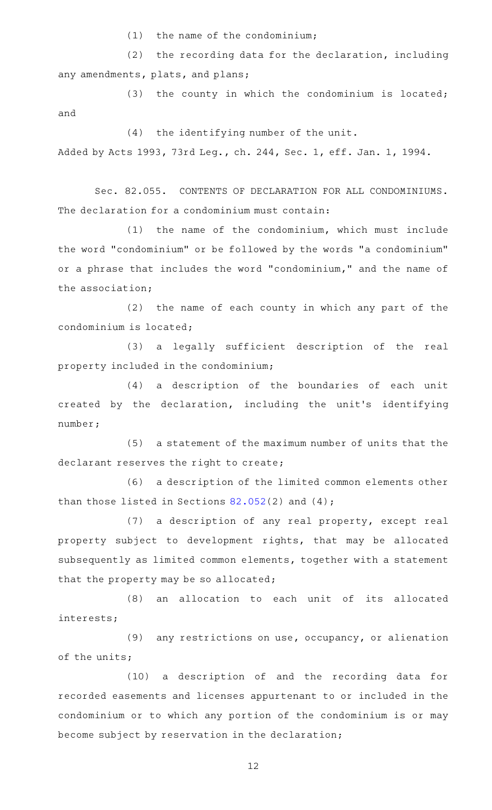$(1)$  the name of the condominium;

 $(2)$  the recording data for the declaration, including any amendments, plats, and plans;

(3) the county in which the condominium is located; and

(4) the identifying number of the unit. Added by Acts 1993, 73rd Leg., ch. 244, Sec. 1, eff. Jan. 1, 1994.

Sec. 82.055. CONTENTS OF DECLARATION FOR ALL CONDOMINIUMS. The declaration for a condominium must contain:

(1) the name of the condominium, which must include the word "condominium" or be followed by the words "a condominium" or a phrase that includes the word "condominium," and the name of the association;

 $(2)$  the name of each county in which any part of the condominium is located;

(3) a legally sufficient description of the real property included in the condominium;

(4) a description of the boundaries of each unit created by the declaration, including the unit 's identifying number;

(5) a statement of the maximum number of units that the declarant reserves the right to create;

(6) a description of the limited common elements other than those listed in Sections  $82.052(2)$  $82.052(2)$  and  $(4)$ ;

(7) a description of any real property, except real property subject to development rights, that may be allocated subsequently as limited common elements, together with a statement that the property may be so allocated;

(8) an allocation to each unit of its allocated interests;

(9) any restrictions on use, occupancy, or alienation of the units;

(10) a description of and the recording data for recorded easements and licenses appurtenant to or included in the condominium or to which any portion of the condominium is or may become subject by reservation in the declaration;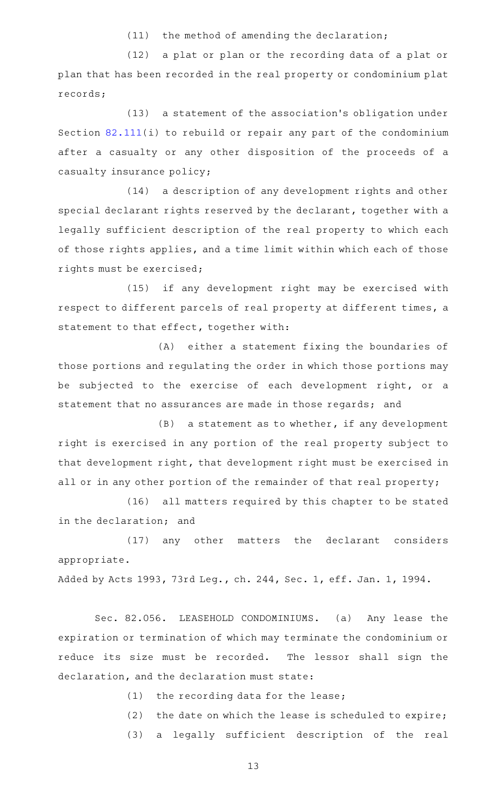$(11)$  the method of amending the declaration;

(12) a plat or plan or the recording data of a plat or plan that has been recorded in the real property or condominium plat records;

 $(13)$  a statement of the association's obligation under Section [82.111](http://www.statutes.legis.state.tx.us/GetStatute.aspx?Code=PR&Value=82.111)(i) to rebuild or repair any part of the condominium after a casualty or any other disposition of the proceeds of a casualty insurance policy;

(14) a description of any development rights and other special declarant rights reserved by the declarant, together with a legally sufficient description of the real property to which each of those rights applies, and a time limit within which each of those rights must be exercised;

(15) if any development right may be exercised with respect to different parcels of real property at different times, a statement to that effect, together with:

(A) either a statement fixing the boundaries of those portions and regulating the order in which those portions may be subjected to the exercise of each development right, or a statement that no assurances are made in those regards; and

 $(B)$  a statement as to whether, if any development right is exercised in any portion of the real property subject to that development right, that development right must be exercised in all or in any other portion of the remainder of that real property;

(16) all matters required by this chapter to be stated in the declaration; and

(17) any other matters the declarant considers appropriate.

Added by Acts 1993, 73rd Leg., ch. 244, Sec. 1, eff. Jan. 1, 1994.

Sec. 82.056. LEASEHOLD CONDOMINIUMS. (a) Any lease the expiration or termination of which may terminate the condominium or reduce its size must be recorded. The lessor shall sign the declaration, and the declaration must state:

 $(1)$  the recording data for the lease;

(2) the date on which the lease is scheduled to expire;

(3) a legally sufficient description of the real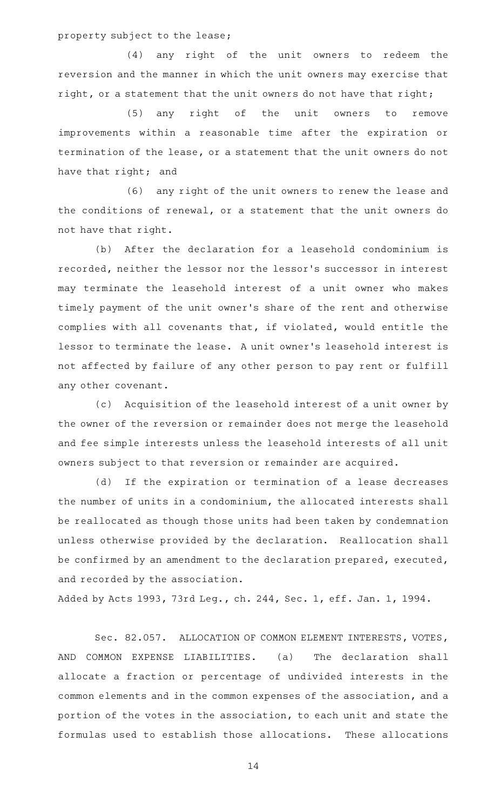property subject to the lease;

(4) any right of the unit owners to redeem the reversion and the manner in which the unit owners may exercise that right, or a statement that the unit owners do not have that right;

(5) any right of the unit owners to remove improvements within a reasonable time after the expiration or termination of the lease, or a statement that the unit owners do not have that right; and

(6) any right of the unit owners to renew the lease and the conditions of renewal, or a statement that the unit owners do not have that right.

(b) After the declaration for a leasehold condominium is recorded, neither the lessor nor the lessor 's successor in interest may terminate the leasehold interest of a unit owner who makes timely payment of the unit owner 's share of the rent and otherwise complies with all covenants that, if violated, would entitle the lessor to terminate the lease. A unit owner 's leasehold interest is not affected by failure of any other person to pay rent or fulfill any other covenant.

(c) Acquisition of the leasehold interest of a unit owner by the owner of the reversion or remainder does not merge the leasehold and fee simple interests unless the leasehold interests of all unit owners subject to that reversion or remainder are acquired.

(d) If the expiration or termination of a lease decreases the number of units in a condominium, the allocated interests shall be reallocated as though those units had been taken by condemnation unless otherwise provided by the declaration. Reallocation shall be confirmed by an amendment to the declaration prepared, executed, and recorded by the association.

Added by Acts 1993, 73rd Leg., ch. 244, Sec. 1, eff. Jan. 1, 1994.

Sec. 82.057. ALLOCATION OF COMMON ELEMENT INTERESTS, VOTES, AND COMMON EXPENSE LIABILITIES. (a) The declaration shall allocate a fraction or percentage of undivided interests in the common elements and in the common expenses of the association, and a portion of the votes in the association, to each unit and state the formulas used to establish those allocations. These allocations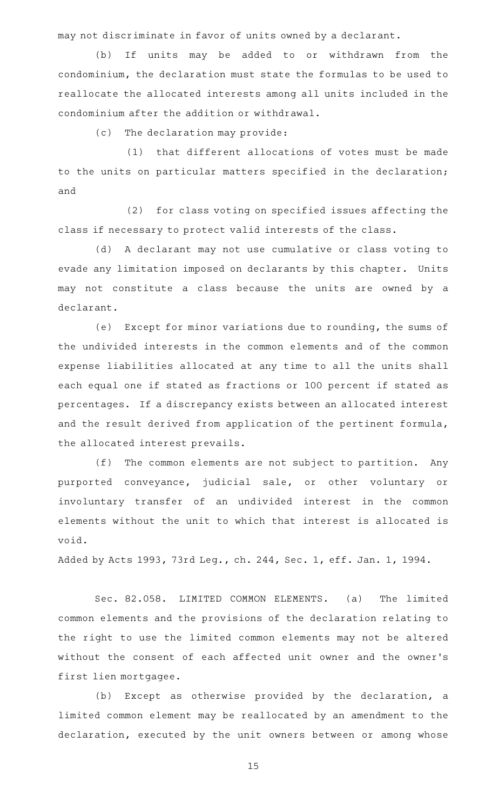may not discriminate in favor of units owned by a declarant.

(b) If units may be added to or withdrawn from the condominium, the declaration must state the formulas to be used to reallocate the allocated interests among all units included in the condominium after the addition or withdrawal.

(c) The declaration may provide:

(1) that different allocations of votes must be made to the units on particular matters specified in the declaration; and

(2) for class voting on specified issues affecting the class if necessary to protect valid interests of the class.

(d) A declarant may not use cumulative or class voting to evade any limitation imposed on declarants by this chapter. Units may not constitute a class because the units are owned by a declarant.

(e) Except for minor variations due to rounding, the sums of the undivided interests in the common elements and of the common expense liabilities allocated at any time to all the units shall each equal one if stated as fractions or 100 percent if stated as percentages. If a discrepancy exists between an allocated interest and the result derived from application of the pertinent formula, the allocated interest prevails.

(f) The common elements are not subject to partition. Any purported conveyance, judicial sale, or other voluntary or involuntary transfer of an undivided interest in the common elements without the unit to which that interest is allocated is void.

Added by Acts 1993, 73rd Leg., ch. 244, Sec. 1, eff. Jan. 1, 1994.

Sec. 82.058. LIMITED COMMON ELEMENTS. (a) The limited common elements and the provisions of the declaration relating to the right to use the limited common elements may not be altered without the consent of each affected unit owner and the owner 's first lien mortgagee.

(b) Except as otherwise provided by the declaration, a limited common element may be reallocated by an amendment to the declaration, executed by the unit owners between or among whose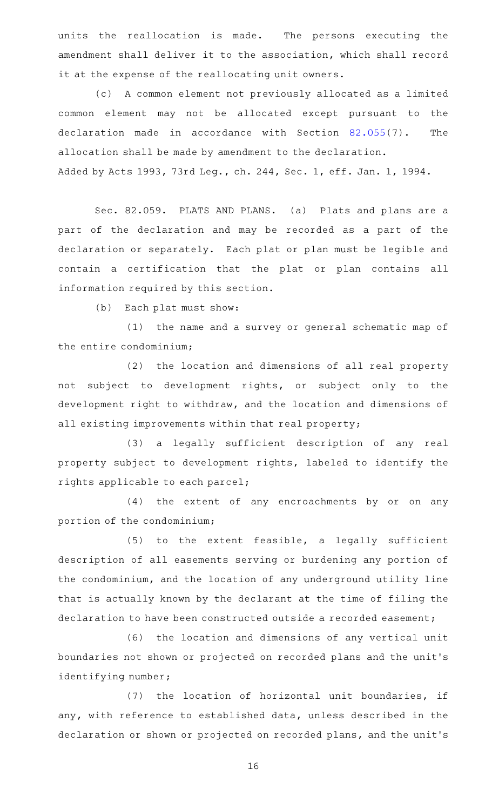units the reallocation is made. The persons executing the amendment shall deliver it to the association, which shall record it at the expense of the reallocating unit owners.

(c) A common element not previously allocated as a limited common element may not be allocated except pursuant to the declaration made in accordance with Section [82.055\(](http://www.statutes.legis.state.tx.us/GetStatute.aspx?Code=PR&Value=82.055)7). The allocation shall be made by amendment to the declaration. Added by Acts 1993, 73rd Leg., ch. 244, Sec. 1, eff. Jan. 1, 1994.

Sec. 82.059. PLATS AND PLANS. (a) Plats and plans are a part of the declaration and may be recorded as a part of the declaration or separately. Each plat or plan must be legible and contain a certification that the plat or plan contains all information required by this section.

(b) Each plat must show:

(1) the name and a survey or general schematic map of the entire condominium;

(2) the location and dimensions of all real property not subject to development rights, or subject only to the development right to withdraw, and the location and dimensions of all existing improvements within that real property;

(3) a legally sufficient description of any real property subject to development rights, labeled to identify the rights applicable to each parcel;

(4) the extent of any encroachments by or on any portion of the condominium;

 $(5)$  to the extent feasible, a legally sufficient description of all easements serving or burdening any portion of the condominium, and the location of any underground utility line that is actually known by the declarant at the time of filing the declaration to have been constructed outside a recorded easement;

(6) the location and dimensions of any vertical unit boundaries not shown or projected on recorded plans and the unit 's identifying number;

(7) the location of horizontal unit boundaries, if any, with reference to established data, unless described in the declaration or shown or projected on recorded plans, and the unit 's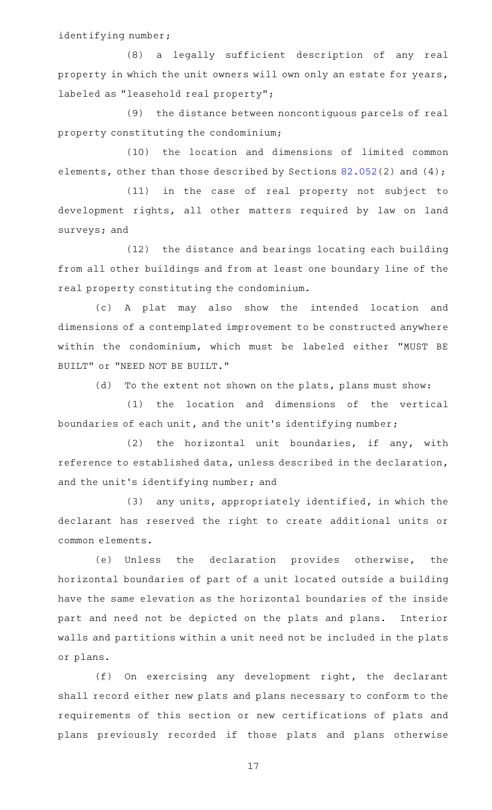identifying number;

(8) a legally sufficient description of any real property in which the unit owners will own only an estate for years, labeled as "leasehold real property";

(9) the distance between noncontiguous parcels of real property constituting the condominium;

(10) the location and dimensions of limited common elements, other than those described by Sections [82.052\(](http://www.statutes.legis.state.tx.us/GetStatute.aspx?Code=PR&Value=82.052)2) and (4);

 $(11)$  in the case of real property not subject to development rights, all other matters required by law on land surveys; and

(12) the distance and bearings locating each building from all other buildings and from at least one boundary line of the real property constituting the condominium.

(c)AAA plat may also show the intended location and dimensions of a contemplated improvement to be constructed anywhere within the condominium, which must be labeled either "MUST BE BUILT" or "NEED NOT BE BUILT."

(d) To the extent not shown on the plats, plans must show:

(1) the location and dimensions of the vertical boundaries of each unit, and the unit 's identifying number;

 $(2)$  the horizontal unit boundaries, if any, with reference to established data, unless described in the declaration, and the unit's identifying number; and

(3) any units, appropriately identified, in which the declarant has reserved the right to create additional units or common elements.

(e) Unless the declaration provides otherwise, the horizontal boundaries of part of a unit located outside a building have the same elevation as the horizontal boundaries of the inside part and need not be depicted on the plats and plans. Interior walls and partitions within a unit need not be included in the plats or plans.

(f) On exercising any development right, the declarant shall record either new plats and plans necessary to conform to the requirements of this section or new certifications of plats and plans previously recorded if those plats and plans otherwise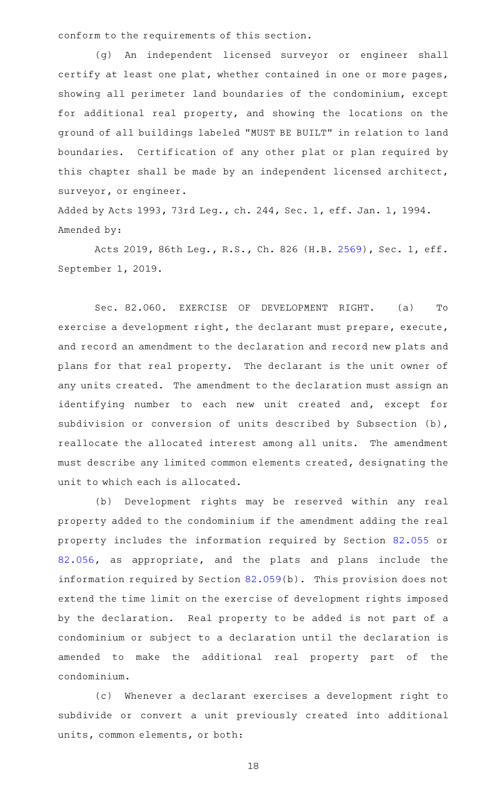conform to the requirements of this section.

(g) An independent licensed surveyor or engineer shall certify at least one plat, whether contained in one or more pages, showing all perimeter land boundaries of the condominium, except for additional real property, and showing the locations on the ground of all buildings labeled "MUST BE BUILT" in relation to land boundaries. Certification of any other plat or plan required by this chapter shall be made by an independent licensed architect, surveyor, or engineer.

Added by Acts 1993, 73rd Leg., ch. 244, Sec. 1, eff. Jan. 1, 1994. Amended by:

Acts 2019, 86th Leg., R.S., Ch. 826 (H.B. [2569](http://www.legis.state.tx.us/tlodocs/86R/billtext/html/HB02569F.HTM)), Sec. 1, eff. September 1, 2019.

Sec. 82.060. EXERCISE OF DEVELOPMENT RIGHT. (a) To exercise a development right, the declarant must prepare, execute, and record an amendment to the declaration and record new plats and plans for that real property. The declarant is the unit owner of any units created. The amendment to the declaration must assign an identifying number to each new unit created and, except for subdivision or conversion of units described by Subsection (b), reallocate the allocated interest among all units. The amendment must describe any limited common elements created, designating the unit to which each is allocated.

(b) Development rights may be reserved within any real property added to the condominium if the amendment adding the real property includes the information required by Section [82.055](http://www.statutes.legis.state.tx.us/GetStatute.aspx?Code=PR&Value=82.055) or [82.056](http://www.statutes.legis.state.tx.us/GetStatute.aspx?Code=PR&Value=82.056), as appropriate, and the plats and plans include the information required by Section [82.059](http://www.statutes.legis.state.tx.us/GetStatute.aspx?Code=PR&Value=82.059)(b). This provision does not extend the time limit on the exercise of development rights imposed by the declaration. Real property to be added is not part of a condominium or subject to a declaration until the declaration is amended to make the additional real property part of the condominium.

(c) Whenever a declarant exercises a development right to subdivide or convert a unit previously created into additional units, common elements, or both: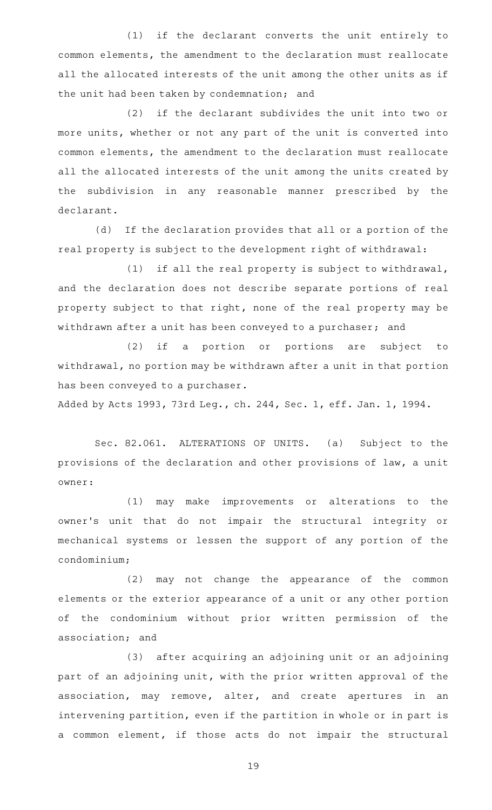(1) if the declarant converts the unit entirely to common elements, the amendment to the declaration must reallocate all the allocated interests of the unit among the other units as if the unit had been taken by condemnation; and

(2) if the declarant subdivides the unit into two or more units, whether or not any part of the unit is converted into common elements, the amendment to the declaration must reallocate all the allocated interests of the unit among the units created by the subdivision in any reasonable manner prescribed by the declarant.

(d) If the declaration provides that all or a portion of the real property is subject to the development right of withdrawal:

(1) if all the real property is subject to withdrawal, and the declaration does not describe separate portions of real property subject to that right, none of the real property may be withdrawn after a unit has been conveyed to a purchaser; and

(2) if a portion or portions are subject to withdrawal, no portion may be withdrawn after a unit in that portion has been conveyed to a purchaser.

Added by Acts 1993, 73rd Leg., ch. 244, Sec. 1, eff. Jan. 1, 1994.

Sec. 82.061. ALTERATIONS OF UNITS. (a) Subject to the provisions of the declaration and other provisions of law, a unit owner:

(1) may make improvements or alterations to the owner's unit that do not impair the structural integrity or mechanical systems or lessen the support of any portion of the condominium;

(2) may not change the appearance of the common elements or the exterior appearance of a unit or any other portion of the condominium without prior written permission of the association; and

(3) after acquiring an adjoining unit or an adjoining part of an adjoining unit, with the prior written approval of the association, may remove, alter, and create apertures in an intervening partition, even if the partition in whole or in part is a common element, if those acts do not impair the structural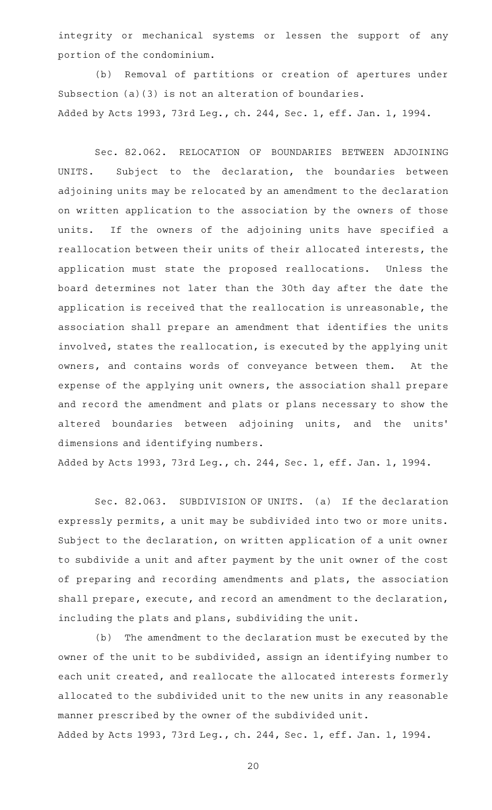integrity or mechanical systems or lessen the support of any portion of the condominium.

(b) Removal of partitions or creation of apertures under Subsection (a)(3) is not an alteration of boundaries. Added by Acts 1993, 73rd Leg., ch. 244, Sec. 1, eff. Jan. 1, 1994.

Sec. 82.062. RELOCATION OF BOUNDARIES BETWEEN ADJOINING UNITS. Subject to the declaration, the boundaries between adjoining units may be relocated by an amendment to the declaration on written application to the association by the owners of those units. If the owners of the adjoining units have specified a reallocation between their units of their allocated interests, the application must state the proposed reallocations. Unless the board determines not later than the 30th day after the date the application is received that the reallocation is unreasonable, the association shall prepare an amendment that identifies the units involved, states the reallocation, is executed by the applying unit owners, and contains words of conveyance between them. At the expense of the applying unit owners, the association shall prepare and record the amendment and plats or plans necessary to show the altered boundaries between adjoining units, and the units' dimensions and identifying numbers.

Added by Acts 1993, 73rd Leg., ch. 244, Sec. 1, eff. Jan. 1, 1994.

Sec. 82.063. SUBDIVISION OF UNITS. (a) If the declaration expressly permits, a unit may be subdivided into two or more units. Subject to the declaration, on written application of a unit owner to subdivide a unit and after payment by the unit owner of the cost of preparing and recording amendments and plats, the association shall prepare, execute, and record an amendment to the declaration, including the plats and plans, subdividing the unit.

(b) The amendment to the declaration must be executed by the owner of the unit to be subdivided, assign an identifying number to each unit created, and reallocate the allocated interests formerly allocated to the subdivided unit to the new units in any reasonable manner prescribed by the owner of the subdivided unit. Added by Acts 1993, 73rd Leg., ch. 244, Sec. 1, eff. Jan. 1, 1994.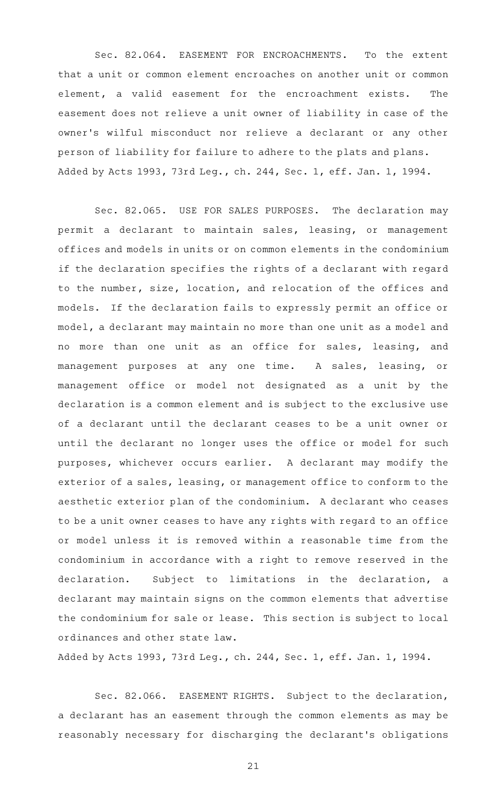Sec. 82.064. EASEMENT FOR ENCROACHMENTS. To the extent that a unit or common element encroaches on another unit or common element, a valid easement for the encroachment exists. The easement does not relieve a unit owner of liability in case of the owner 's wilful misconduct nor relieve a declarant or any other person of liability for failure to adhere to the plats and plans. Added by Acts 1993, 73rd Leg., ch. 244, Sec. 1, eff. Jan. 1, 1994.

Sec. 82.065. USE FOR SALES PURPOSES. The declaration may permit a declarant to maintain sales, leasing, or management offices and models in units or on common elements in the condominium if the declaration specifies the rights of a declarant with regard to the number, size, location, and relocation of the offices and models. If the declaration fails to expressly permit an office or model, a declarant may maintain no more than one unit as a model and no more than one unit as an office for sales, leasing, and management purposes at any one time. A sales, leasing, or management office or model not designated as a unit by the declaration is a common element and is subject to the exclusive use of a declarant until the declarant ceases to be a unit owner or until the declarant no longer uses the office or model for such purposes, whichever occurs earlier. A declarant may modify the exterior of a sales, leasing, or management office to conform to the aesthetic exterior plan of the condominium. A declarant who ceases to be a unit owner ceases to have any rights with regard to an office or model unless it is removed within a reasonable time from the condominium in accordance with a right to remove reserved in the declaration. Subject to limitations in the declaration, a declarant may maintain signs on the common elements that advertise the condominium for sale or lease. This section is subject to local ordinances and other state law.

Added by Acts 1993, 73rd Leg., ch. 244, Sec. 1, eff. Jan. 1, 1994.

Sec. 82.066. EASEMENT RIGHTS. Subject to the declaration, a declarant has an easement through the common elements as may be reasonably necessary for discharging the declarant 's obligations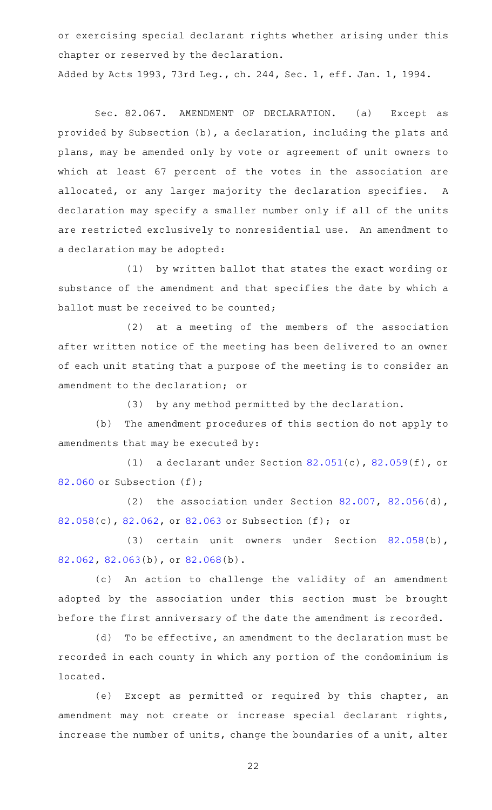or exercising special declarant rights whether arising under this chapter or reserved by the declaration.

Added by Acts 1993, 73rd Leg., ch. 244, Sec. 1, eff. Jan. 1, 1994.

Sec. 82.067. AMENDMENT OF DECLARATION. (a) Except as provided by Subsection (b), a declaration, including the plats and plans, may be amended only by vote or agreement of unit owners to which at least 67 percent of the votes in the association are allocated, or any larger majority the declaration specifies. A declaration may specify a smaller number only if all of the units are restricted exclusively to nonresidential use. An amendment to a declaration may be adopted:

(1) by written ballot that states the exact wording or substance of the amendment and that specifies the date by which a ballot must be received to be counted;

(2) at a meeting of the members of the association after written notice of the meeting has been delivered to an owner of each unit stating that a purpose of the meeting is to consider an amendment to the declaration; or

(3) by any method permitted by the declaration.

(b) The amendment procedures of this section do not apply to amendments that may be executed by:

(1) a declarant under Section  $82.051(c)$  $82.051(c)$ ,  $82.059(f)$  $82.059(f)$ , or [82.060](http://www.statutes.legis.state.tx.us/GetStatute.aspx?Code=PR&Value=82.060) or Subsection (f);

(2) the association under Section  $82.007$ ,  $82.056(d)$  $82.056(d)$ , [82.058](http://www.statutes.legis.state.tx.us/GetStatute.aspx?Code=PR&Value=82.058)(c), [82.062,](http://www.statutes.legis.state.tx.us/GetStatute.aspx?Code=PR&Value=82.062) or [82.063](http://www.statutes.legis.state.tx.us/GetStatute.aspx?Code=PR&Value=82.063) or Subsection (f); or

(3) certain unit owners under Section [82.058\(](http://www.statutes.legis.state.tx.us/GetStatute.aspx?Code=PR&Value=82.058)b), [82.062](http://www.statutes.legis.state.tx.us/GetStatute.aspx?Code=PR&Value=82.062), [82.063](http://www.statutes.legis.state.tx.us/GetStatute.aspx?Code=PR&Value=82.063)(b), or [82.068\(](http://www.statutes.legis.state.tx.us/GetStatute.aspx?Code=PR&Value=82.068)b).

(c) An action to challenge the validity of an amendment adopted by the association under this section must be brought before the first anniversary of the date the amendment is recorded.

(d) To be effective, an amendment to the declaration must be recorded in each county in which any portion of the condominium is located.

(e) Except as permitted or required by this chapter, an amendment may not create or increase special declarant rights, increase the number of units, change the boundaries of a unit, alter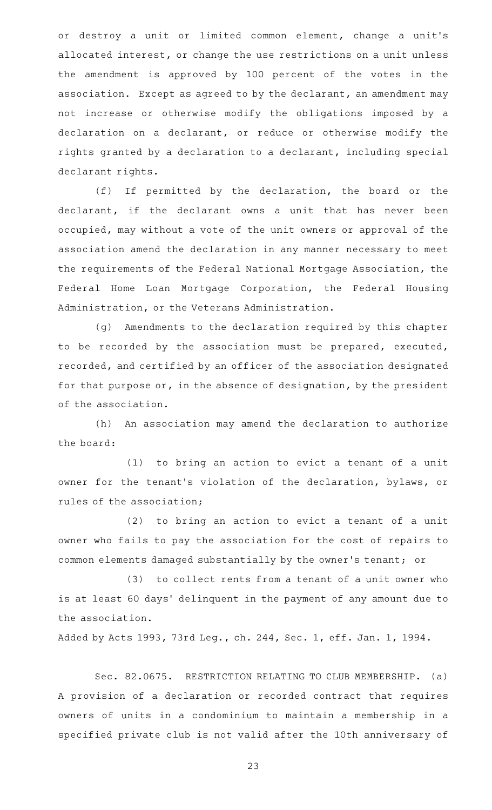or destroy a unit or limited common element, change a unit's allocated interest, or change the use restrictions on a unit unless the amendment is approved by 100 percent of the votes in the association. Except as agreed to by the declarant, an amendment may not increase or otherwise modify the obligations imposed by a declaration on a declarant, or reduce or otherwise modify the rights granted by a declaration to a declarant, including special declarant rights.

 $(f)$  If permitted by the declaration, the board or the declarant, if the declarant owns a unit that has never been occupied, may without a vote of the unit owners or approval of the association amend the declaration in any manner necessary to meet the requirements of the Federal National Mortgage Association, the Federal Home Loan Mortgage Corporation, the Federal Housing Administration, or the Veterans Administration.

(g) Amendments to the declaration required by this chapter to be recorded by the association must be prepared, executed, recorded, and certified by an officer of the association designated for that purpose or, in the absence of designation, by the president of the association.

(h) An association may amend the declaration to authorize the board:

(1) to bring an action to evict a tenant of a unit owner for the tenant 's violation of the declaration, bylaws, or rules of the association;

(2) to bring an action to evict a tenant of a unit owner who fails to pay the association for the cost of repairs to common elements damaged substantially by the owner 's tenant; or

(3) to collect rents from a tenant of a unit owner who is at least 60 days' delinquent in the payment of any amount due to the association.

Added by Acts 1993, 73rd Leg., ch. 244, Sec. 1, eff. Jan. 1, 1994.

Sec. 82.0675. RESTRICTION RELATING TO CLUB MEMBERSHIP. (a) A provision of a declaration or recorded contract that requires owners of units in a condominium to maintain a membership in a specified private club is not valid after the 10th anniversary of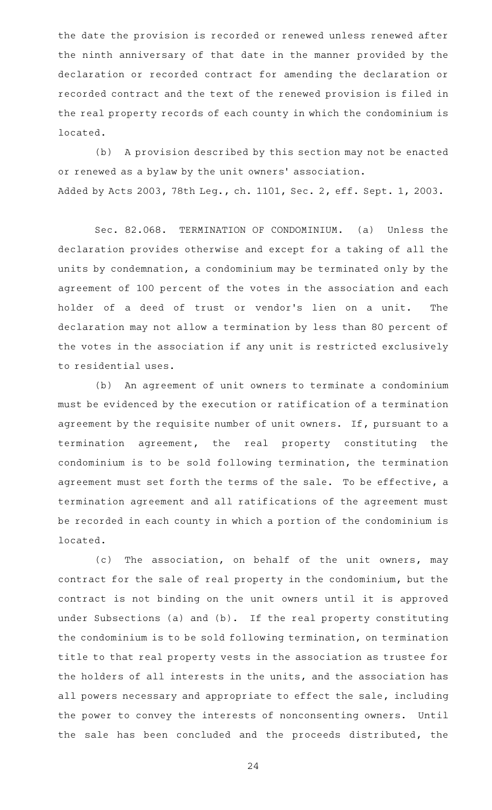the date the provision is recorded or renewed unless renewed after the ninth anniversary of that date in the manner provided by the declaration or recorded contract for amending the declaration or recorded contract and the text of the renewed provision is filed in the real property records of each county in which the condominium is located.

(b) A provision described by this section may not be enacted or renewed as a bylaw by the unit owners' association. Added by Acts 2003, 78th Leg., ch. 1101, Sec. 2, eff. Sept. 1, 2003.

Sec. 82.068. TERMINATION OF CONDOMINIUM. (a) Unless the declaration provides otherwise and except for a taking of all the units by condemnation, a condominium may be terminated only by the agreement of 100 percent of the votes in the association and each holder of a deed of trust or vendor 's lien on a unit. The declaration may not allow a termination by less than 80 percent of the votes in the association if any unit is restricted exclusively to residential uses.

(b) An agreement of unit owners to terminate a condominium must be evidenced by the execution or ratification of a termination agreement by the requisite number of unit owners. If, pursuant to a termination agreement, the real property constituting the condominium is to be sold following termination, the termination agreement must set forth the terms of the sale. To be effective, a termination agreement and all ratifications of the agreement must be recorded in each county in which a portion of the condominium is located.

(c) The association, on behalf of the unit owners, may contract for the sale of real property in the condominium, but the contract is not binding on the unit owners until it is approved under Subsections (a) and (b). If the real property constituting the condominium is to be sold following termination, on termination title to that real property vests in the association as trustee for the holders of all interests in the units, and the association has all powers necessary and appropriate to effect the sale, including the power to convey the interests of nonconsenting owners. Until the sale has been concluded and the proceeds distributed, the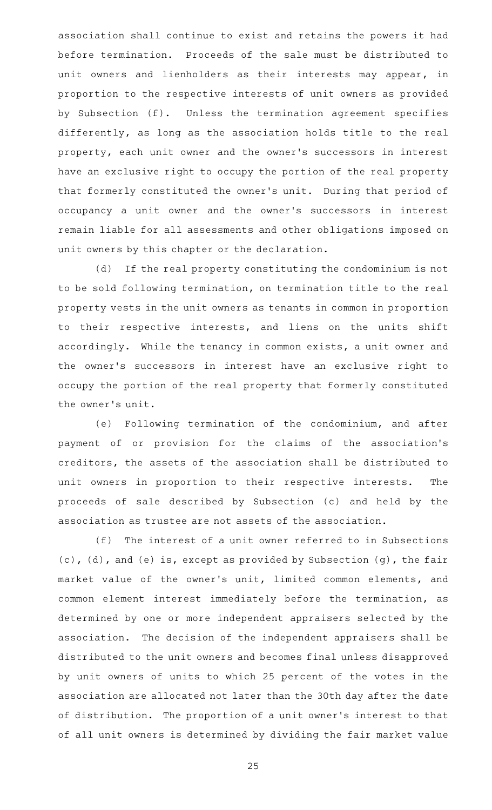association shall continue to exist and retains the powers it had before termination. Proceeds of the sale must be distributed to unit owners and lienholders as their interests may appear, in proportion to the respective interests of unit owners as provided by Subsection (f). Unless the termination agreement specifies differently, as long as the association holds title to the real property, each unit owner and the owner 's successors in interest have an exclusive right to occupy the portion of the real property that formerly constituted the owner 's unit. During that period of occupancy a unit owner and the owner 's successors in interest remain liable for all assessments and other obligations imposed on unit owners by this chapter or the declaration.

(d) If the real property constituting the condominium is not to be sold following termination, on termination title to the real property vests in the unit owners as tenants in common in proportion to their respective interests, and liens on the units shift accordingly. While the tenancy in common exists, a unit owner and the owner 's successors in interest have an exclusive right to occupy the portion of the real property that formerly constituted the owner 's unit.

(e) Following termination of the condominium, and after payment of or provision for the claims of the association 's creditors, the assets of the association shall be distributed to unit owners in proportion to their respective interests. The proceeds of sale described by Subsection (c) and held by the association as trustee are not assets of the association.

 $(f)$  The interest of a unit owner referred to in Subsections (c), (d), and (e) is, except as provided by Subsection (g), the fair market value of the owner 's unit, limited common elements, and common element interest immediately before the termination, as determined by one or more independent appraisers selected by the association. The decision of the independent appraisers shall be distributed to the unit owners and becomes final unless disapproved by unit owners of units to which 25 percent of the votes in the association are allocated not later than the 30th day after the date of distribution. The proportion of a unit owner 's interest to that of all unit owners is determined by dividing the fair market value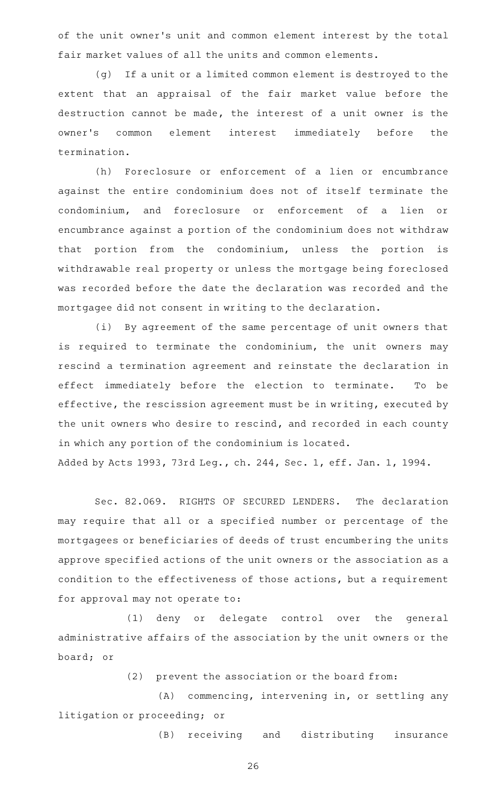of the unit owner 's unit and common element interest by the total fair market values of all the units and common elements.

(g) If a unit or a limited common element is destroyed to the extent that an appraisal of the fair market value before the destruction cannot be made, the interest of a unit owner is the owner's common element interest immediately before the termination.

(h) Foreclosure or enforcement of a lien or encumbrance against the entire condominium does not of itself terminate the condominium, and foreclosure or enforcement of a lien or encumbrance against a portion of the condominium does not withdraw that portion from the condominium, unless the portion is withdrawable real property or unless the mortgage being foreclosed was recorded before the date the declaration was recorded and the mortgagee did not consent in writing to the declaration.

(i) By agreement of the same percentage of unit owners that is required to terminate the condominium, the unit owners may rescind a termination agreement and reinstate the declaration in effect immediately before the election to terminate. To be effective, the rescission agreement must be in writing, executed by the unit owners who desire to rescind, and recorded in each county in which any portion of the condominium is located. Added by Acts 1993, 73rd Leg., ch. 244, Sec. 1, eff. Jan. 1, 1994.

Sec. 82.069. RIGHTS OF SECURED LENDERS. The declaration may require that all or a specified number or percentage of the mortgagees or beneficiaries of deeds of trust encumbering the units approve specified actions of the unit owners or the association as a condition to the effectiveness of those actions, but a requirement for approval may not operate to:

(1) deny or delegate control over the general administrative affairs of the association by the unit owners or the board; or

 $(2)$  prevent the association or the board from:

 $(A)$  commencing, intervening in, or settling any litigation or proceeding; or

(B) receiving and distributing insurance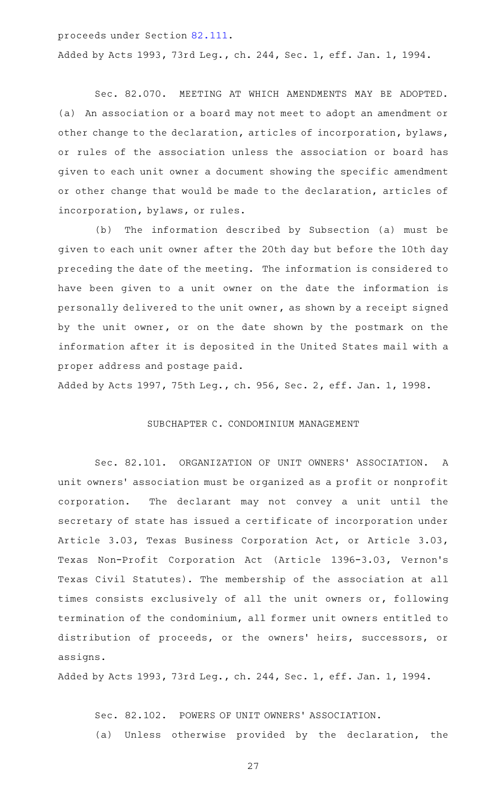proceeds under Section [82.111](http://www.statutes.legis.state.tx.us/GetStatute.aspx?Code=PR&Value=82.111).

Added by Acts 1993, 73rd Leg., ch. 244, Sec. 1, eff. Jan. 1, 1994.

Sec. 82.070. MEETING AT WHICH AMENDMENTS MAY BE ADOPTED. (a) An association or a board may not meet to adopt an amendment or other change to the declaration, articles of incorporation, bylaws, or rules of the association unless the association or board has given to each unit owner a document showing the specific amendment or other change that would be made to the declaration, articles of incorporation, bylaws, or rules.

(b) The information described by Subsection (a) must be given to each unit owner after the 20th day but before the 10th day preceding the date of the meeting. The information is considered to have been given to a unit owner on the date the information is personally delivered to the unit owner, as shown by a receipt signed by the unit owner, or on the date shown by the postmark on the information after it is deposited in the United States mail with a proper address and postage paid.

Added by Acts 1997, 75th Leg., ch. 956, Sec. 2, eff. Jan. 1, 1998.

### SUBCHAPTER C. CONDOMINIUM MANAGEMENT

Sec. 82.101. ORGANIZATION OF UNIT OWNERS' ASSOCIATION. A unit owners' association must be organized as a profit or nonprofit corporation. The declarant may not convey a unit until the secretary of state has issued a certificate of incorporation under Article 3.03, Texas Business Corporation Act, or Article 3.03, Texas Non-Profit Corporation Act (Article 1396-3.03, Vernon's Texas Civil Statutes). The membership of the association at all times consists exclusively of all the unit owners or, following termination of the condominium, all former unit owners entitled to distribution of proceeds, or the owners' heirs, successors, or assigns.

Added by Acts 1993, 73rd Leg., ch. 244, Sec. 1, eff. Jan. 1, 1994.

Sec. 82.102. POWERS OF UNIT OWNERS' ASSOCIATION. (a) Unless otherwise provided by the declaration, the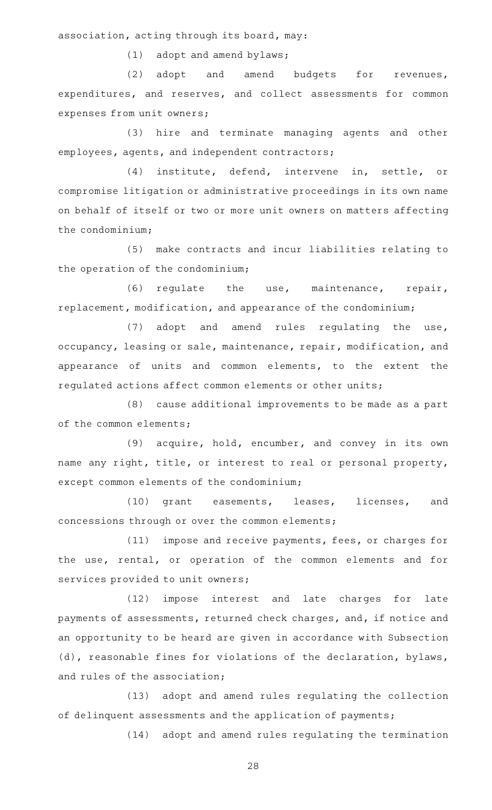association, acting through its board, may:

 $(1)$  adopt and amend bylaws;

(2) adopt and amend budgets for revenues, expenditures, and reserves, and collect assessments for common expenses from unit owners;

(3) hire and terminate managing agents and other employees, agents, and independent contractors;

(4) institute, defend, intervene in, settle, or compromise litigation or administrative proceedings in its own name on behalf of itself or two or more unit owners on matters affecting the condominium;

(5) make contracts and incur liabilities relating to the operation of the condominium;

(6) regulate the use, maintenance, repair, replacement, modification, and appearance of the condominium;

 $(7)$  adopt and amend rules regulating the use, occupancy, leasing or sale, maintenance, repair, modification, and appearance of units and common elements, to the extent the regulated actions affect common elements or other units;

(8) cause additional improvements to be made as a part of the common elements;

(9) acquire, hold, encumber, and convey in its own name any right, title, or interest to real or personal property, except common elements of the condominium;

(10) grant easements, leases, licenses, and concessions through or over the common elements;

(11) impose and receive payments, fees, or charges for the use, rental, or operation of the common elements and for services provided to unit owners;

(12) impose interest and late charges for late payments of assessments, returned check charges, and, if notice and an opportunity to be heard are given in accordance with Subsection (d), reasonable fines for violations of the declaration, bylaws, and rules of the association;

(13) adopt and amend rules regulating the collection of delinquent assessments and the application of payments;

(14) adopt and amend rules regulating the termination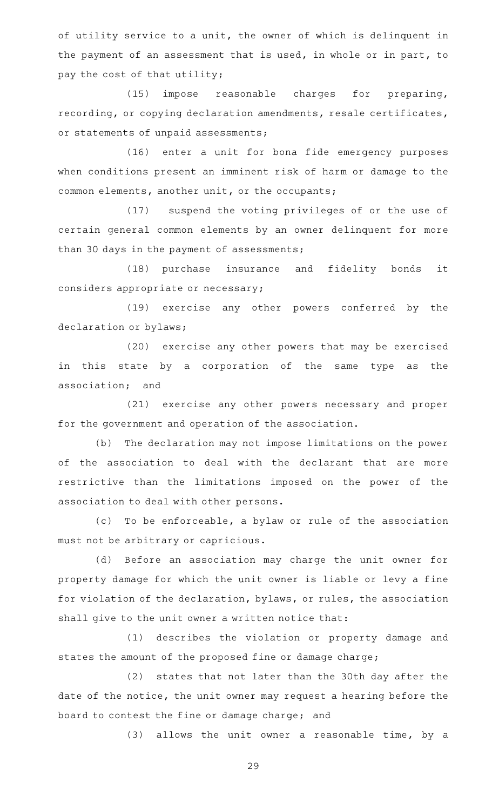of utility service to a unit, the owner of which is delinquent in the payment of an assessment that is used, in whole or in part, to pay the cost of that utility;

(15) impose reasonable charges for preparing, recording, or copying declaration amendments, resale certificates, or statements of unpaid assessments;

(16) enter a unit for bona fide emergency purposes when conditions present an imminent risk of harm or damage to the common elements, another unit, or the occupants;

(17) suspend the voting privileges of or the use of certain general common elements by an owner delinquent for more than 30 days in the payment of assessments;

(18) purchase insurance and fidelity bonds it considers appropriate or necessary;

(19) exercise any other powers conferred by the declaration or bylaws;

(20) exercise any other powers that may be exercised in this state by a corporation of the same type as the association; and

(21) exercise any other powers necessary and proper for the government and operation of the association.

(b) The declaration may not impose limitations on the power of the association to deal with the declarant that are more restrictive than the limitations imposed on the power of the association to deal with other persons.

(c) To be enforceable, a bylaw or rule of the association must not be arbitrary or capricious.

(d) Before an association may charge the unit owner for property damage for which the unit owner is liable or levy a fine for violation of the declaration, bylaws, or rules, the association shall give to the unit owner a written notice that:

(1) describes the violation or property damage and states the amount of the proposed fine or damage charge;

(2) states that not later than the 30th day after the date of the notice, the unit owner may request a hearing before the board to contest the fine or damage charge; and

 $(3)$  allows the unit owner a reasonable time, by a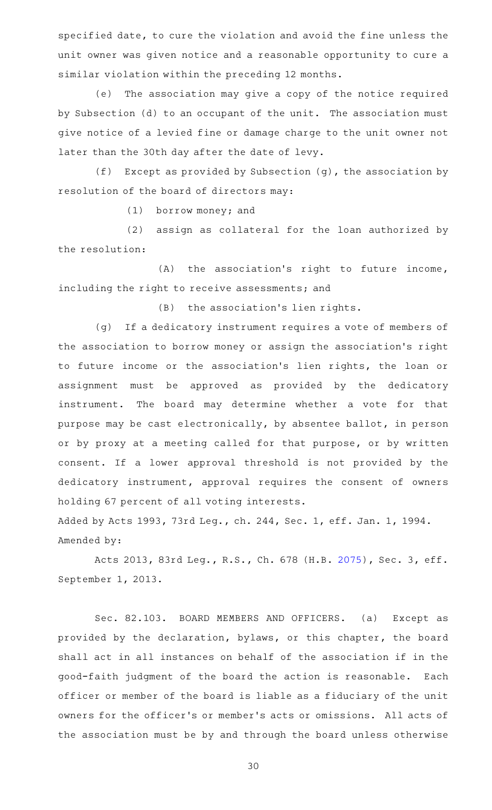specified date, to cure the violation and avoid the fine unless the unit owner was given notice and a reasonable opportunity to cure a similar violation within the preceding 12 months.

(e) The association may give a copy of the notice required by Subsection (d) to an occupant of the unit. The association must give notice of a levied fine or damage charge to the unit owner not later than the 30th day after the date of levy.

(f) Except as provided by Subsection (g), the association by resolution of the board of directors may:

 $(1)$  borrow money; and

(2) assign as collateral for the loan authorized by the resolution:

 $(A)$  the association's right to future income, including the right to receive assessments; and

 $(B)$  the association's lien rights.

(g) If a dedicatory instrument requires a vote of members of the association to borrow money or assign the association 's right to future income or the association's lien rights, the loan or assignment must be approved as provided by the dedicatory instrument. The board may determine whether a vote for that purpose may be cast electronically, by absentee ballot, in person or by proxy at a meeting called for that purpose, or by written consent. If a lower approval threshold is not provided by the dedicatory instrument, approval requires the consent of owners holding 67 percent of all voting interests.

Added by Acts 1993, 73rd Leg., ch. 244, Sec. 1, eff. Jan. 1, 1994. Amended by:

Acts 2013, 83rd Leg., R.S., Ch. 678 (H.B. [2075](http://www.legis.state.tx.us/tlodocs/83R/billtext/html/HB02075F.HTM)), Sec. 3, eff. September 1, 2013.

Sec. 82.103. BOARD MEMBERS AND OFFICERS. (a) Except as provided by the declaration, bylaws, or this chapter, the board shall act in all instances on behalf of the association if in the good-faith judgment of the board the action is reasonable. Each officer or member of the board is liable as a fiduciary of the unit owners for the officer 's or member 's acts or omissions. All acts of the association must be by and through the board unless otherwise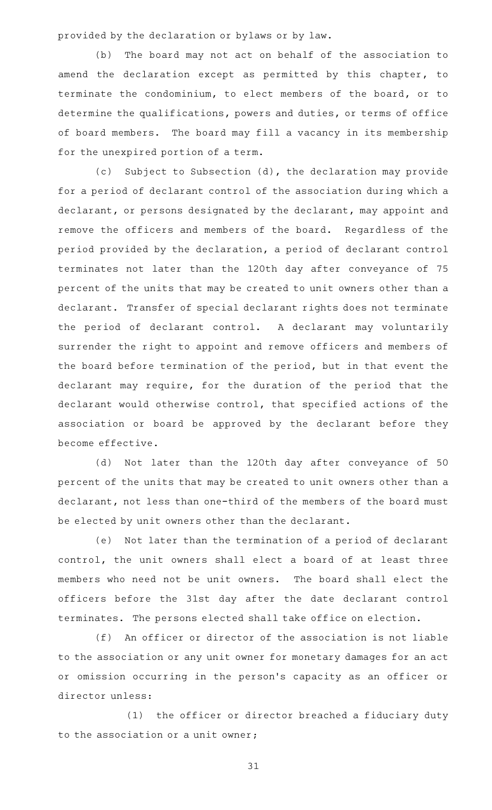provided by the declaration or bylaws or by law.

(b) The board may not act on behalf of the association to amend the declaration except as permitted by this chapter, to terminate the condominium, to elect members of the board, or to determine the qualifications, powers and duties, or terms of office of board members. The board may fill a vacancy in its membership for the unexpired portion of a term.

(c) Subject to Subsection (d), the declaration may provide for a period of declarant control of the association during which a declarant, or persons designated by the declarant, may appoint and remove the officers and members of the board. Regardless of the period provided by the declaration, a period of declarant control terminates not later than the 120th day after conveyance of 75 percent of the units that may be created to unit owners other than a declarant. Transfer of special declarant rights does not terminate the period of declarant control. A declarant may voluntarily surrender the right to appoint and remove officers and members of the board before termination of the period, but in that event the declarant may require, for the duration of the period that the declarant would otherwise control, that specified actions of the association or board be approved by the declarant before they become effective.

(d) Not later than the 120th day after conveyance of 50 percent of the units that may be created to unit owners other than a declarant, not less than one-third of the members of the board must be elected by unit owners other than the declarant.

(e) Not later than the termination of a period of declarant control, the unit owners shall elect a board of at least three members who need not be unit owners. The board shall elect the officers before the 31st day after the date declarant control terminates. The persons elected shall take office on election.

(f) An officer or director of the association is not liable to the association or any unit owner for monetary damages for an act or omission occurring in the person 's capacity as an officer or director unless:

(1) the officer or director breached a fiduciary duty to the association or a unit owner;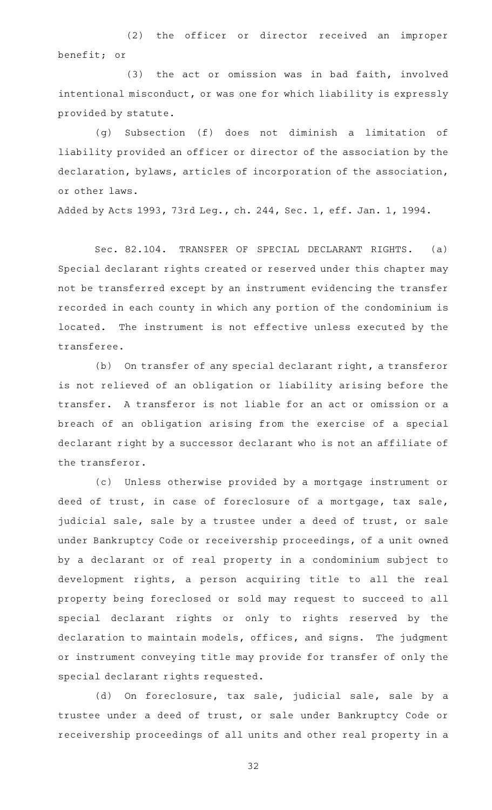(2) the officer or director received an improper benefit; or

(3) the act or omission was in bad faith, involved intentional misconduct, or was one for which liability is expressly provided by statute.

(g) Subsection (f) does not diminish a limitation of liability provided an officer or director of the association by the declaration, bylaws, articles of incorporation of the association, or other laws.

Added by Acts 1993, 73rd Leg., ch. 244, Sec. 1, eff. Jan. 1, 1994.

Sec. 82.104. TRANSFER OF SPECIAL DECLARANT RIGHTS. (a) Special declarant rights created or reserved under this chapter may not be transferred except by an instrument evidencing the transfer recorded in each county in which any portion of the condominium is located. The instrument is not effective unless executed by the transferee.

(b) On transfer of any special declarant right, a transferor is not relieved of an obligation or liability arising before the transfer. A transferor is not liable for an act or omission or a breach of an obligation arising from the exercise of a special declarant right by a successor declarant who is not an affiliate of the transferor.

(c) Unless otherwise provided by a mortgage instrument or deed of trust, in case of foreclosure of a mortgage, tax sale, judicial sale, sale by a trustee under a deed of trust, or sale under Bankruptcy Code or receivership proceedings, of a unit owned by a declarant or of real property in a condominium subject to development rights, a person acquiring title to all the real property being foreclosed or sold may request to succeed to all special declarant rights or only to rights reserved by the declaration to maintain models, offices, and signs. The judgment or instrument conveying title may provide for transfer of only the special declarant rights requested.

(d) On foreclosure, tax sale, judicial sale, sale by a trustee under a deed of trust, or sale under Bankruptcy Code or receivership proceedings of all units and other real property in a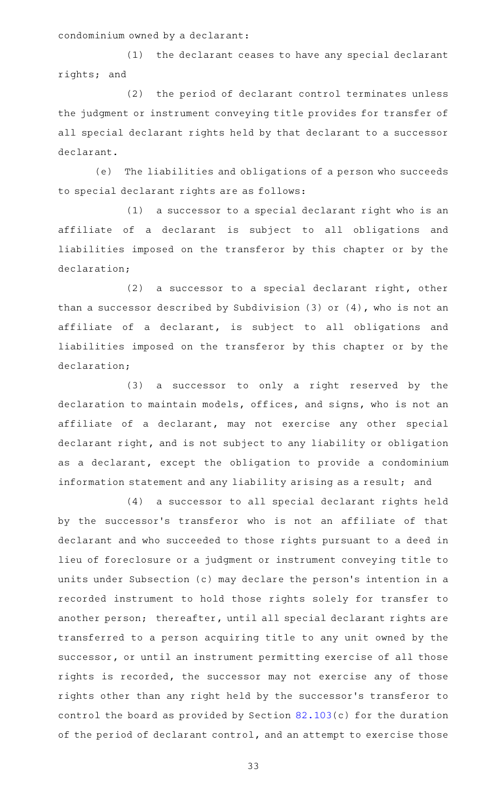condominium owned by a declarant:

(1) the declarant ceases to have any special declarant rights; and

(2) the period of declarant control terminates unless the judgment or instrument conveying title provides for transfer of all special declarant rights held by that declarant to a successor declarant.

(e) The liabilities and obligations of a person who succeeds to special declarant rights are as follows:

 $(1)$  a successor to a special declarant right who is an affiliate of a declarant is subject to all obligations and liabilities imposed on the transferor by this chapter or by the declaration;

 $(2)$  a successor to a special declarant right, other than a successor described by Subdivision (3) or (4), who is not an affiliate of a declarant, is subject to all obligations and liabilities imposed on the transferor by this chapter or by the declaration;

 $(3)$  a successor to only a right reserved by the declaration to maintain models, offices, and signs, who is not an affiliate of a declarant, may not exercise any other special declarant right, and is not subject to any liability or obligation as a declarant, except the obligation to provide a condominium information statement and any liability arising as a result; and

(4) a successor to all special declarant rights held by the successor 's transferor who is not an affiliate of that declarant and who succeeded to those rights pursuant to a deed in lieu of foreclosure or a judgment or instrument conveying title to units under Subsection (c) may declare the person's intention in a recorded instrument to hold those rights solely for transfer to another person; thereafter, until all special declarant rights are transferred to a person acquiring title to any unit owned by the successor, or until an instrument permitting exercise of all those rights is recorded, the successor may not exercise any of those rights other than any right held by the successor 's transferor to control the board as provided by Section [82.103\(](http://www.statutes.legis.state.tx.us/GetStatute.aspx?Code=PR&Value=82.103)c) for the duration of the period of declarant control, and an attempt to exercise those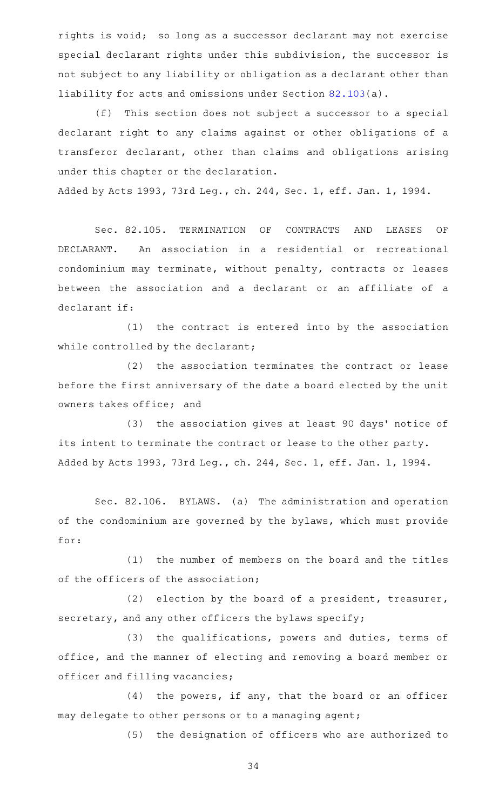rights is void; so long as a successor declarant may not exercise special declarant rights under this subdivision, the successor is not subject to any liability or obligation as a declarant other than liability for acts and omissions under Section [82.103](http://www.statutes.legis.state.tx.us/GetStatute.aspx?Code=PR&Value=82.103)(a).

(f) This section does not subject a successor to a special declarant right to any claims against or other obligations of a transferor declarant, other than claims and obligations arising under this chapter or the declaration.

Added by Acts 1993, 73rd Leg., ch. 244, Sec. 1, eff. Jan. 1, 1994.

Sec. 82.105. TERMINATION OF CONTRACTS AND LEASES OF DECLARANT. An association in a residential or recreational condominium may terminate, without penalty, contracts or leases between the association and a declarant or an affiliate of a declarant if:

 $(1)$  the contract is entered into by the association while controlled by the declarant;

(2) the association terminates the contract or lease before the first anniversary of the date a board elected by the unit owners takes office; and

(3) the association gives at least 90 days' notice of its intent to terminate the contract or lease to the other party. Added by Acts 1993, 73rd Leg., ch. 244, Sec. 1, eff. Jan. 1, 1994.

Sec. 82.106. BYLAWS. (a) The administration and operation of the condominium are governed by the bylaws, which must provide for:

(1) the number of members on the board and the titles of the officers of the association;

(2) election by the board of a president, treasurer, secretary, and any other officers the bylaws specify;

(3) the qualifications, powers and duties, terms of office, and the manner of electing and removing a board member or officer and filling vacancies;

 $(4)$  the powers, if any, that the board or an officer may delegate to other persons or to a managing agent;

(5) the designation of officers who are authorized to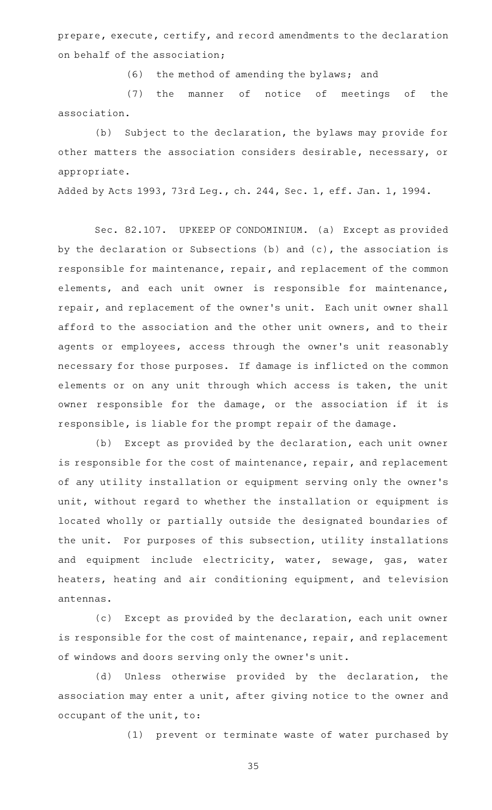prepare, execute, certify, and record amendments to the declaration on behalf of the association;

(6) the method of amending the bylaws; and

(7) the manner of notice of meetings of the association.

(b) Subject to the declaration, the bylaws may provide for other matters the association considers desirable, necessary, or appropriate.

Added by Acts 1993, 73rd Leg., ch. 244, Sec. 1, eff. Jan. 1, 1994.

Sec. 82.107. UPKEEP OF CONDOMINIUM. (a) Except as provided by the declaration or Subsections (b) and (c), the association is responsible for maintenance, repair, and replacement of the common elements, and each unit owner is responsible for maintenance, repair, and replacement of the owner 's unit. Each unit owner shall afford to the association and the other unit owners, and to their agents or employees, access through the owner 's unit reasonably necessary for those purposes. If damage is inflicted on the common elements or on any unit through which access is taken, the unit owner responsible for the damage, or the association if it is responsible, is liable for the prompt repair of the damage.

(b) Except as provided by the declaration, each unit owner is responsible for the cost of maintenance, repair, and replacement of any utility installation or equipment serving only the owner 's unit, without regard to whether the installation or equipment is located wholly or partially outside the designated boundaries of the unit. For purposes of this subsection, utility installations and equipment include electricity, water, sewage, gas, water heaters, heating and air conditioning equipment, and television antennas.

(c) Except as provided by the declaration, each unit owner is responsible for the cost of maintenance, repair, and replacement of windows and doors serving only the owner 's unit.

(d) Unless otherwise provided by the declaration, the association may enter a unit, after giving notice to the owner and occupant of the unit, to:

(1) prevent or terminate waste of water purchased by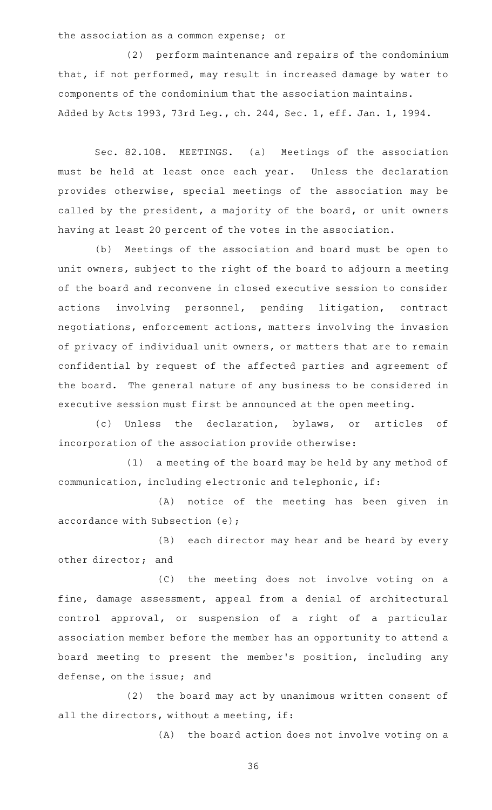#### the association as a common expense; or

(2) perform maintenance and repairs of the condominium that, if not performed, may result in increased damage by water to components of the condominium that the association maintains. Added by Acts 1993, 73rd Leg., ch. 244, Sec. 1, eff. Jan. 1, 1994.

Sec. 82.108. MEETINGS. (a) Meetings of the association must be held at least once each year. Unless the declaration provides otherwise, special meetings of the association may be called by the president, a majority of the board, or unit owners having at least 20 percent of the votes in the association.

(b) Meetings of the association and board must be open to unit owners, subject to the right of the board to adjourn a meeting of the board and reconvene in closed executive session to consider actions involving personnel, pending litigation, contract negotiations, enforcement actions, matters involving the invasion of privacy of individual unit owners, or matters that are to remain confidential by request of the affected parties and agreement of the board. The general nature of any business to be considered in executive session must first be announced at the open meeting.

(c) Unless the declaration, bylaws, or articles of incorporation of the association provide otherwise:

(1) a meeting of the board may be held by any method of communication, including electronic and telephonic, if:

(A) notice of the meeting has been given in accordance with Subsection (e);

(B) each director may hear and be heard by every other director; and

(C) the meeting does not involve voting on a fine, damage assessment, appeal from a denial of architectural control approval, or suspension of a right of a particular association member before the member has an opportunity to attend a board meeting to present the member 's position, including any defense, on the issue; and

(2) the board may act by unanimous written consent of all the directors, without a meeting, if:

(A) the board action does not involve voting on a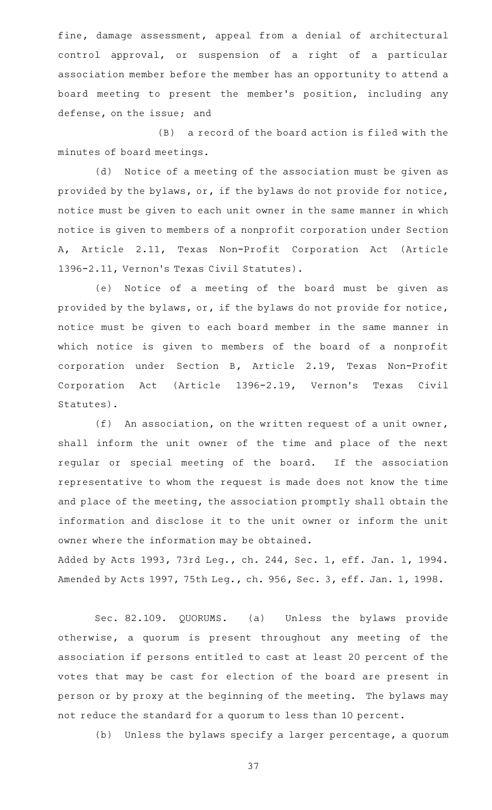fine, damage assessment, appeal from a denial of architectural control approval, or suspension of a right of a particular association member before the member has an opportunity to attend a board meeting to present the member 's position, including any defense, on the issue; and

 $(B)$  a record of the board action is filed with the minutes of board meetings.

(d) Notice of a meeting of the association must be given as provided by the bylaws, or, if the bylaws do not provide for notice, notice must be given to each unit owner in the same manner in which notice is given to members of a nonprofit corporation under Section A, Article 2.11, Texas Non-Profit Corporation Act (Article 1396-2.11, Vernon's Texas Civil Statutes).

(e) Notice of a meeting of the board must be given as provided by the bylaws, or, if the bylaws do not provide for notice, notice must be given to each board member in the same manner in which notice is given to members of the board of a nonprofit corporation under Section B, Article 2.19, Texas Non-Profit Corporation Act (Article 1396-2.19, Vernon's Texas Civil Statutes).

(f) An association, on the written request of a unit owner, shall inform the unit owner of the time and place of the next regular or special meeting of the board. If the association representative to whom the request is made does not know the time and place of the meeting, the association promptly shall obtain the information and disclose it to the unit owner or inform the unit owner where the information may be obtained.

Added by Acts 1993, 73rd Leg., ch. 244, Sec. 1, eff. Jan. 1, 1994. Amended by Acts 1997, 75th Leg., ch. 956, Sec. 3, eff. Jan. 1, 1998.

Sec. 82.109. QUORUMS. (a) Unless the bylaws provide otherwise, a quorum is present throughout any meeting of the association if persons entitled to cast at least 20 percent of the votes that may be cast for election of the board are present in person or by proxy at the beginning of the meeting. The bylaws may not reduce the standard for a quorum to less than 10 percent.

(b) Unless the bylaws specify a larger percentage, a quorum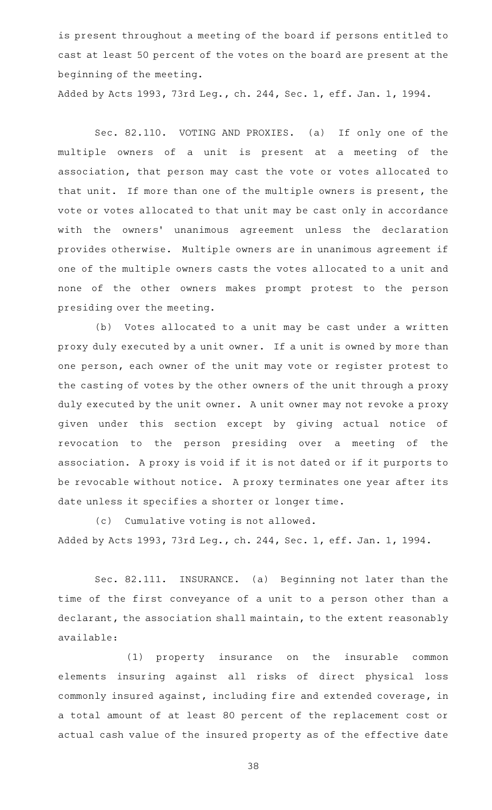is present throughout a meeting of the board if persons entitled to cast at least 50 percent of the votes on the board are present at the beginning of the meeting.

Added by Acts 1993, 73rd Leg., ch. 244, Sec. 1, eff. Jan. 1, 1994.

Sec. 82.110. VOTING AND PROXIES. (a) If only one of the multiple owners of a unit is present at a meeting of the association, that person may cast the vote or votes allocated to that unit. If more than one of the multiple owners is present, the vote or votes allocated to that unit may be cast only in accordance with the owners' unanimous agreement unless the declaration provides otherwise. Multiple owners are in unanimous agreement if one of the multiple owners casts the votes allocated to a unit and none of the other owners makes prompt protest to the person presiding over the meeting.

(b) Votes allocated to a unit may be cast under a written proxy duly executed by a unit owner. If a unit is owned by more than one person, each owner of the unit may vote or register protest to the casting of votes by the other owners of the unit through a proxy duly executed by the unit owner. A unit owner may not revoke a proxy given under this section except by giving actual notice of revocation to the person presiding over a meeting of the association. A proxy is void if it is not dated or if it purports to be revocable without notice. A proxy terminates one year after its date unless it specifies a shorter or longer time.

(c) Cumulative voting is not allowed. Added by Acts 1993, 73rd Leg., ch. 244, Sec. 1, eff. Jan. 1, 1994.

Sec. 82.111. INSURANCE. (a) Beginning not later than the time of the first conveyance of a unit to a person other than a declarant, the association shall maintain, to the extent reasonably available:

(1) property insurance on the insurable common elements insuring against all risks of direct physical loss commonly insured against, including fire and extended coverage, in a total amount of at least 80 percent of the replacement cost or actual cash value of the insured property as of the effective date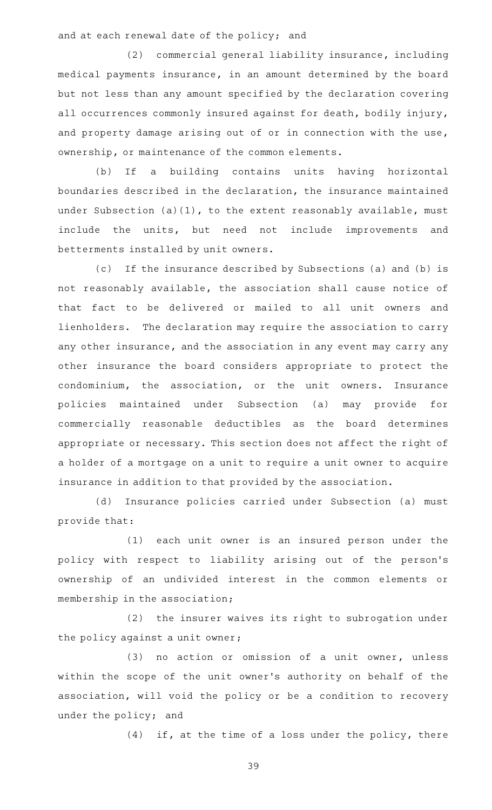and at each renewal date of the policy; and

(2) commercial general liability insurance, including medical payments insurance, in an amount determined by the board but not less than any amount specified by the declaration covering all occurrences commonly insured against for death, bodily injury, and property damage arising out of or in connection with the use, ownership, or maintenance of the common elements.

(b) If a building contains units having horizontal boundaries described in the declaration, the insurance maintained under Subsection (a)(1), to the extent reasonably available, must include the units, but need not include improvements and betterments installed by unit owners.

(c) If the insurance described by Subsections (a) and (b) is not reasonably available, the association shall cause notice of that fact to be delivered or mailed to all unit owners and lienholders. The declaration may require the association to carry any other insurance, and the association in any event may carry any other insurance the board considers appropriate to protect the condominium, the association, or the unit owners. Insurance policies maintained under Subsection (a) may provide for commercially reasonable deductibles as the board determines appropriate or necessary. This section does not affect the right of a holder of a mortgage on a unit to require a unit owner to acquire insurance in addition to that provided by the association.

(d) Insurance policies carried under Subsection (a) must provide that:

(1) each unit owner is an insured person under the policy with respect to liability arising out of the person's ownership of an undivided interest in the common elements or membership in the association;

(2) the insurer waives its right to subrogation under the policy against a unit owner;

(3) no action or omission of a unit owner, unless within the scope of the unit owner 's authority on behalf of the association, will void the policy or be a condition to recovery under the policy; and

 $(4)$  if, at the time of a loss under the policy, there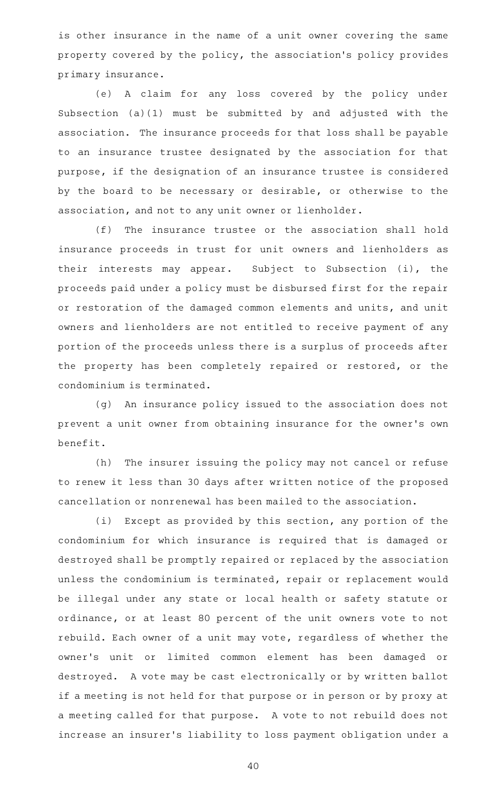is other insurance in the name of a unit owner covering the same property covered by the policy, the association 's policy provides primary insurance.

(e) A claim for any loss covered by the policy under Subsection (a)(1) must be submitted by and adjusted with the association. The insurance proceeds for that loss shall be payable to an insurance trustee designated by the association for that purpose, if the designation of an insurance trustee is considered by the board to be necessary or desirable, or otherwise to the association, and not to any unit owner or lienholder.

(f) The insurance trustee or the association shall hold insurance proceeds in trust for unit owners and lienholders as their interests may appear. Subject to Subsection (i), the proceeds paid under a policy must be disbursed first for the repair or restoration of the damaged common elements and units, and unit owners and lienholders are not entitled to receive payment of any portion of the proceeds unless there is a surplus of proceeds after the property has been completely repaired or restored, or the condominium is terminated.

(g) An insurance policy issued to the association does not prevent a unit owner from obtaining insurance for the owner 's own benefit.

(h) The insurer issuing the policy may not cancel or refuse to renew it less than 30 days after written notice of the proposed cancellation or nonrenewal has been mailed to the association.

(i) Except as provided by this section, any portion of the condominium for which insurance is required that is damaged or destroyed shall be promptly repaired or replaced by the association unless the condominium is terminated, repair or replacement would be illegal under any state or local health or safety statute or ordinance, or at least 80 percent of the unit owners vote to not rebuild. Each owner of a unit may vote, regardless of whether the owner 's unit or limited common element has been damaged or destroyed. A vote may be cast electronically or by written ballot if a meeting is not held for that purpose or in person or by proxy at a meeting called for that purpose. A vote to not rebuild does not increase an insurer 's liability to loss payment obligation under a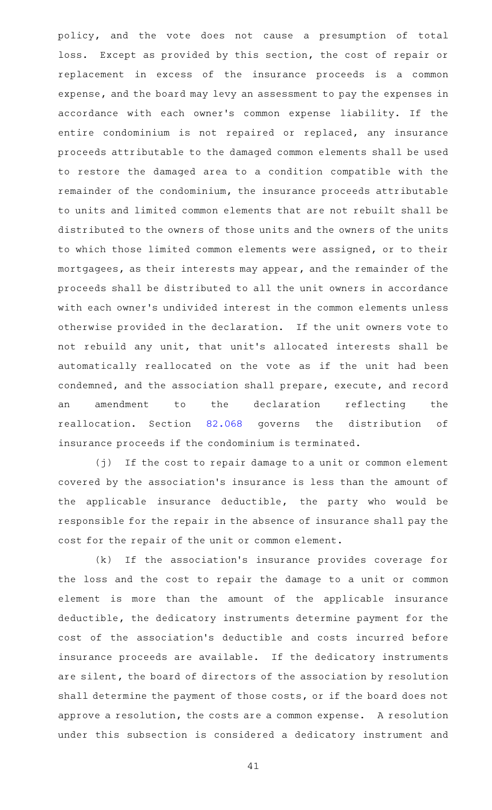policy, and the vote does not cause a presumption of total loss. Except as provided by this section, the cost of repair or replacement in excess of the insurance proceeds is a common expense, and the board may levy an assessment to pay the expenses in accordance with each owner 's common expense liability. If the entire condominium is not repaired or replaced, any insurance proceeds attributable to the damaged common elements shall be used to restore the damaged area to a condition compatible with the remainder of the condominium, the insurance proceeds attributable to units and limited common elements that are not rebuilt shall be distributed to the owners of those units and the owners of the units to which those limited common elements were assigned, or to their mortgagees, as their interests may appear, and the remainder of the proceeds shall be distributed to all the unit owners in accordance with each owner 's undivided interest in the common elements unless otherwise provided in the declaration. If the unit owners vote to not rebuild any unit, that unit 's allocated interests shall be automatically reallocated on the vote as if the unit had been condemned, and the association shall prepare, execute, and record an amendment to the declaration reflecting the reallocation. Section [82.068](http://www.statutes.legis.state.tx.us/GetStatute.aspx?Code=PR&Value=82.068) governs the distribution of insurance proceeds if the condominium is terminated.

(j) If the cost to repair damage to a unit or common element covered by the association 's insurance is less than the amount of the applicable insurance deductible, the party who would be responsible for the repair in the absence of insurance shall pay the cost for the repair of the unit or common element.

(k) If the association's insurance provides coverage for the loss and the cost to repair the damage to a unit or common element is more than the amount of the applicable insurance deductible, the dedicatory instruments determine payment for the cost of the association 's deductible and costs incurred before insurance proceeds are available. If the dedicatory instruments are silent, the board of directors of the association by resolution shall determine the payment of those costs, or if the board does not approve a resolution, the costs are a common expense. A resolution under this subsection is considered a dedicatory instrument and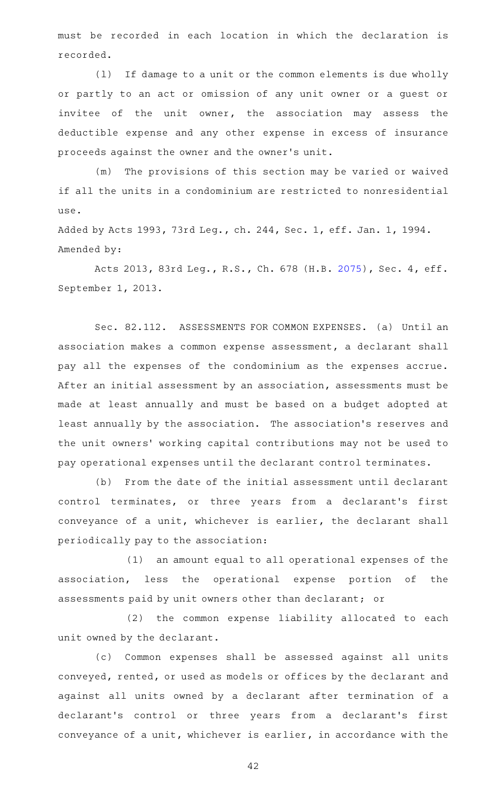must be recorded in each location in which the declaration is recorded.

(1) If damage to a unit or the common elements is due wholly or partly to an act or omission of any unit owner or a guest or invitee of the unit owner, the association may assess the deductible expense and any other expense in excess of insurance proceeds against the owner and the owner 's unit.

(m) The provisions of this section may be varied or waived if all the units in a condominium are restricted to nonresidential use.

Added by Acts 1993, 73rd Leg., ch. 244, Sec. 1, eff. Jan. 1, 1994. Amended by:

Acts 2013, 83rd Leg., R.S., Ch. 678 (H.B. [2075](http://www.legis.state.tx.us/tlodocs/83R/billtext/html/HB02075F.HTM)), Sec. 4, eff. September 1, 2013.

Sec. 82.112. ASSESSMENTS FOR COMMON EXPENSES. (a) Until an association makes a common expense assessment, a declarant shall pay all the expenses of the condominium as the expenses accrue. After an initial assessment by an association, assessments must be made at least annually and must be based on a budget adopted at least annually by the association. The association 's reserves and the unit owners' working capital contributions may not be used to pay operational expenses until the declarant control terminates.

(b) From the date of the initial assessment until declarant control terminates, or three years from a declarant's first conveyance of a unit, whichever is earlier, the declarant shall periodically pay to the association:

(1) an amount equal to all operational expenses of the association, less the operational expense portion of the assessments paid by unit owners other than declarant; or

(2) the common expense liability allocated to each unit owned by the declarant.

(c) Common expenses shall be assessed against all units conveyed, rented, or used as models or offices by the declarant and against all units owned by a declarant after termination of a declarant's control or three years from a declarant's first conveyance of a unit, whichever is earlier, in accordance with the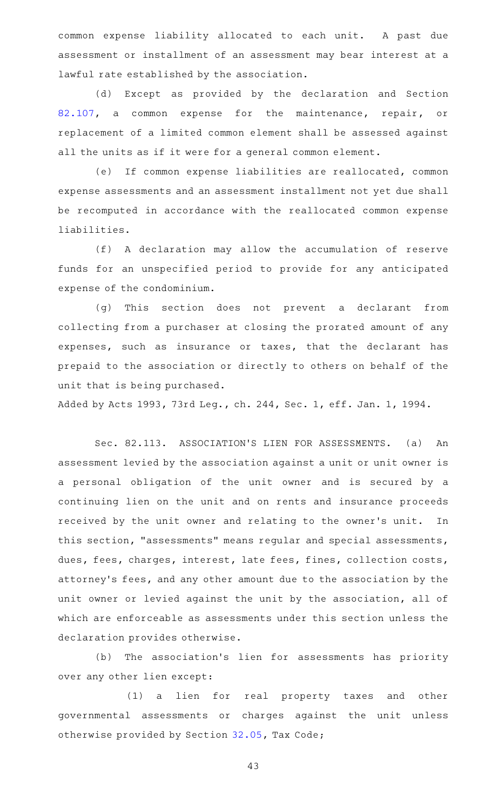common expense liability allocated to each unit. A past due assessment or installment of an assessment may bear interest at a lawful rate established by the association.

(d) Except as provided by the declaration and Section [82.107](http://www.statutes.legis.state.tx.us/GetStatute.aspx?Code=PR&Value=82.107), a common expense for the maintenance, repair, or replacement of a limited common element shall be assessed against all the units as if it were for a general common element.

(e) If common expense liabilities are reallocated, common expense assessments and an assessment installment not yet due shall be recomputed in accordance with the reallocated common expense liabilities.

(f)AAA declaration may allow the accumulation of reserve funds for an unspecified period to provide for any anticipated expense of the condominium.

(g) This section does not prevent a declarant from collecting from a purchaser at closing the prorated amount of any expenses, such as insurance or taxes, that the declarant has prepaid to the association or directly to others on behalf of the unit that is being purchased.

Added by Acts 1993, 73rd Leg., ch. 244, Sec. 1, eff. Jan. 1, 1994.

Sec. 82.113. ASSOCIATION'S LIEN FOR ASSESSMENTS. (a) An assessment levied by the association against a unit or unit owner is a personal obligation of the unit owner and is secured by a continuing lien on the unit and on rents and insurance proceeds received by the unit owner and relating to the owner 's unit. In this section, "assessments" means regular and special assessments, dues, fees, charges, interest, late fees, fines, collection costs, attorney 's fees, and any other amount due to the association by the unit owner or levied against the unit by the association, all of which are enforceable as assessments under this section unless the declaration provides otherwise.

(b) The association's lien for assessments has priority over any other lien except:

(1) a lien for real property taxes and other governmental assessments or charges against the unit unless otherwise provided by Section [32.05](http://www.statutes.legis.state.tx.us/GetStatute.aspx?Code=TX&Value=32.05), Tax Code;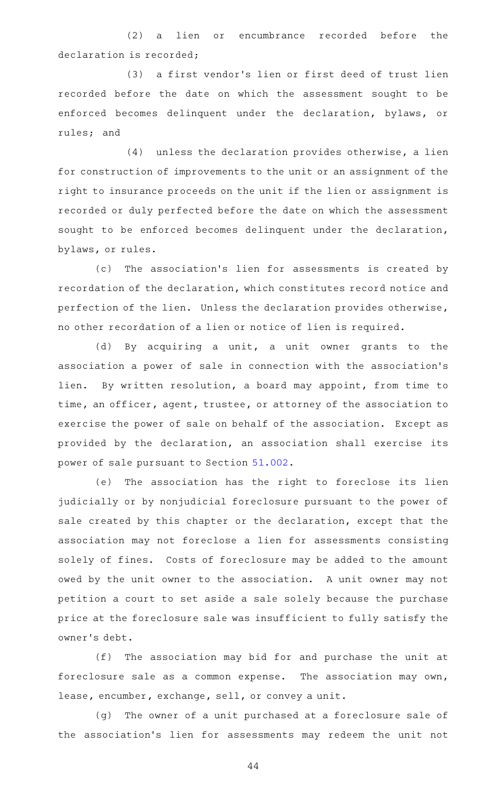(2) a lien or encumbrance recorded before the declaration is recorded;

(3) a first vendor's lien or first deed of trust lien recorded before the date on which the assessment sought to be enforced becomes delinquent under the declaration, bylaws, or rules; and

 $(4)$  unless the declaration provides otherwise, a lien for construction of improvements to the unit or an assignment of the right to insurance proceeds on the unit if the lien or assignment is recorded or duly perfected before the date on which the assessment sought to be enforced becomes delinquent under the declaration, bylaws, or rules.

(c) The association's lien for assessments is created by recordation of the declaration, which constitutes record notice and perfection of the lien. Unless the declaration provides otherwise, no other recordation of a lien or notice of lien is required.

(d) By acquiring a unit, a unit owner grants to the association a power of sale in connection with the association 's lien. By written resolution, a board may appoint, from time to time, an officer, agent, trustee, or attorney of the association to exercise the power of sale on behalf of the association. Except as provided by the declaration, an association shall exercise its power of sale pursuant to Section [51.002.](http://www.statutes.legis.state.tx.us/GetStatute.aspx?Code=PR&Value=51.002)

(e) The association has the right to foreclose its lien judicially or by nonjudicial foreclosure pursuant to the power of sale created by this chapter or the declaration, except that the association may not foreclose a lien for assessments consisting solely of fines. Costs of foreclosure may be added to the amount owed by the unit owner to the association. A unit owner may not petition a court to set aside a sale solely because the purchase price at the foreclosure sale was insufficient to fully satisfy the owner 's debt.

(f) The association may bid for and purchase the unit at foreclosure sale as a common expense. The association may own, lease, encumber, exchange, sell, or convey a unit.

(g) The owner of a unit purchased at a foreclosure sale of the association's lien for assessments may redeem the unit not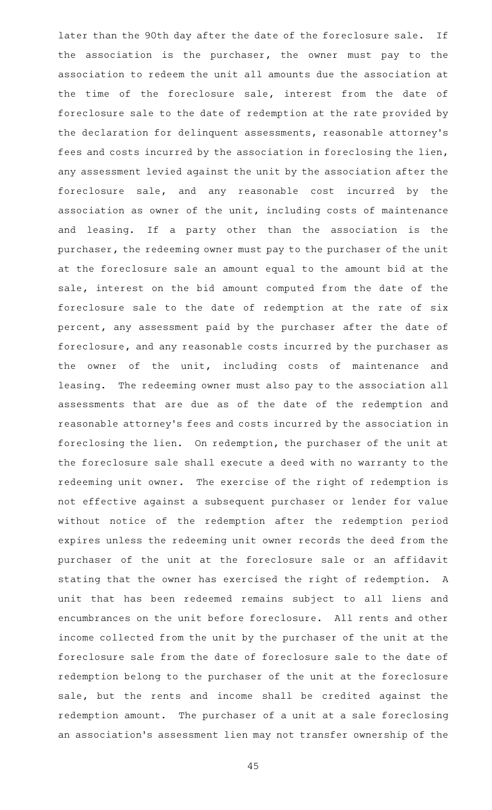later than the 90th day after the date of the foreclosure sale. If the association is the purchaser, the owner must pay to the association to redeem the unit all amounts due the association at the time of the foreclosure sale, interest from the date of foreclosure sale to the date of redemption at the rate provided by the declaration for delinquent assessments, reasonable attorney 's fees and costs incurred by the association in foreclosing the lien, any assessment levied against the unit by the association after the foreclosure sale, and any reasonable cost incurred by the association as owner of the unit, including costs of maintenance and leasing. If a party other than the association is the purchaser, the redeeming owner must pay to the purchaser of the unit at the foreclosure sale an amount equal to the amount bid at the sale, interest on the bid amount computed from the date of the foreclosure sale to the date of redemption at the rate of six percent, any assessment paid by the purchaser after the date of foreclosure, and any reasonable costs incurred by the purchaser as the owner of the unit, including costs of maintenance and leasing. The redeeming owner must also pay to the association all assessments that are due as of the date of the redemption and reasonable attorney 's fees and costs incurred by the association in foreclosing the lien. On redemption, the purchaser of the unit at the foreclosure sale shall execute a deed with no warranty to the redeeming unit owner. The exercise of the right of redemption is not effective against a subsequent purchaser or lender for value without notice of the redemption after the redemption period expires unless the redeeming unit owner records the deed from the purchaser of the unit at the foreclosure sale or an affidavit stating that the owner has exercised the right of redemption. A unit that has been redeemed remains subject to all liens and encumbrances on the unit before foreclosure. All rents and other income collected from the unit by the purchaser of the unit at the foreclosure sale from the date of foreclosure sale to the date of redemption belong to the purchaser of the unit at the foreclosure sale, but the rents and income shall be credited against the redemption amount. The purchaser of a unit at a sale foreclosing an association 's assessment lien may not transfer ownership of the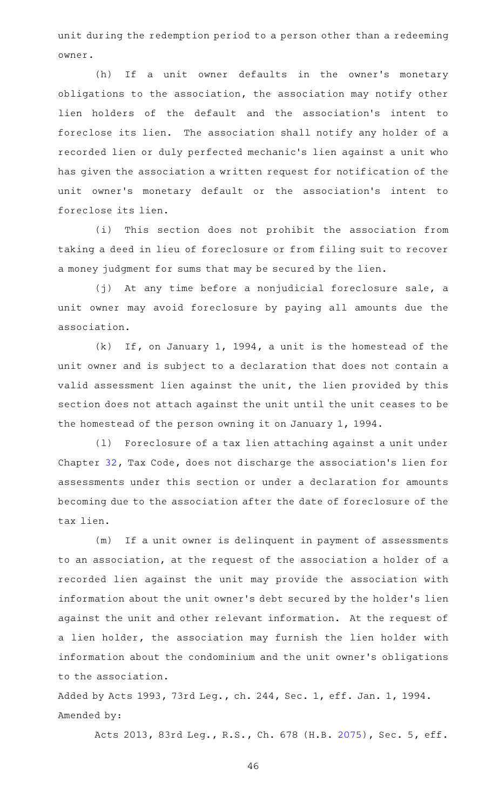unit during the redemption period to a person other than a redeeming owner.

(h) If a unit owner defaults in the owner's monetary obligations to the association, the association may notify other lien holders of the default and the association's intent to foreclose its lien. The association shall notify any holder of a recorded lien or duly perfected mechanic 's lien against a unit who has given the association a written request for notification of the unit owner 's monetary default or the association 's intent to foreclose its lien.

(i) This section does not prohibit the association from taking a deed in lieu of foreclosure or from filing suit to recover a money judgment for sums that may be secured by the lien.

(j) At any time before a nonjudicial foreclosure sale, a unit owner may avoid foreclosure by paying all amounts due the association.

 $(k)$  If, on January 1, 1994, a unit is the homestead of the unit owner and is subject to a declaration that does not contain a valid assessment lien against the unit, the lien provided by this section does not attach against the unit until the unit ceases to be the homestead of the person owning it on January 1, 1994.

(1) Foreclosure of a tax lien attaching against a unit under Chapter [32,](http://www.statutes.legis.state.tx.us/GetStatute.aspx?Code=TX&Value=32) Tax Code, does not discharge the association 's lien for assessments under this section or under a declaration for amounts becoming due to the association after the date of foreclosure of the tax lien.

(m) If a unit owner is delinquent in payment of assessments to an association, at the request of the association a holder of a recorded lien against the unit may provide the association with information about the unit owner 's debt secured by the holder 's lien against the unit and other relevant information. At the request of a lien holder, the association may furnish the lien holder with information about the condominium and the unit owner 's obligations to the association.

Added by Acts 1993, 73rd Leg., ch. 244, Sec. 1, eff. Jan. 1, 1994. Amended by:

Acts 2013, 83rd Leg., R.S., Ch. 678 (H.B. [2075](http://www.legis.state.tx.us/tlodocs/83R/billtext/html/HB02075F.HTM)), Sec. 5, eff.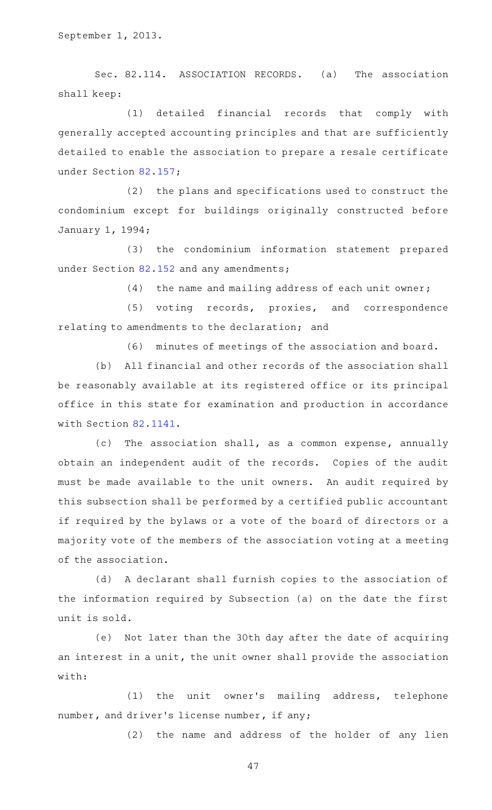Sec. 82.114. ASSOCIATION RECORDS. (a) The association shall keep:

(1) detailed financial records that comply with generally accepted accounting principles and that are sufficiently detailed to enable the association to prepare a resale certificate under Section [82.157;](http://www.statutes.legis.state.tx.us/GetStatute.aspx?Code=PR&Value=82.157)

 $(2)$  the plans and specifications used to construct the condominium except for buildings originally constructed before January 1, 1994;

(3) the condominium information statement prepared under Section [82.152](http://www.statutes.legis.state.tx.us/GetStatute.aspx?Code=PR&Value=82.152) and any amendments;

 $(4)$  the name and mailing address of each unit owner;

(5) voting records, proxies, and correspondence relating to amendments to the declaration; and

(6) minutes of meetings of the association and board.

(b) All financial and other records of the association shall be reasonably available at its registered office or its principal office in this state for examination and production in accordance with Section [82.1141.](http://www.statutes.legis.state.tx.us/GetStatute.aspx?Code=PR&Value=82.1141)

(c) The association shall, as a common expense, annually obtain an independent audit of the records. Copies of the audit must be made available to the unit owners. An audit required by this subsection shall be performed by a certified public accountant if required by the bylaws or a vote of the board of directors or a majority vote of the members of the association voting at a meeting of the association.

(d) A declarant shall furnish copies to the association of the information required by Subsection (a) on the date the first unit is sold.

(e) Not later than the 30th day after the date of acquiring an interest in a unit, the unit owner shall provide the association with:

(1) the unit owner's mailing address, telephone number, and driver 's license number, if any;

(2) the name and address of the holder of any lien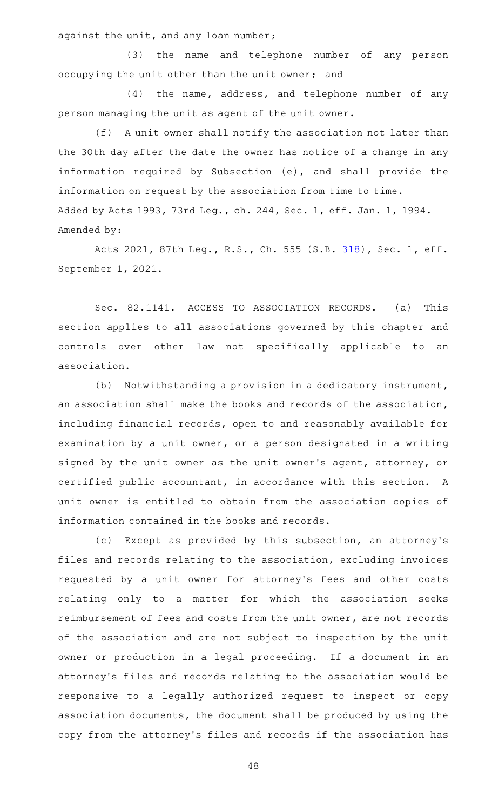against the unit, and any loan number;

(3) the name and telephone number of any person occupying the unit other than the unit owner; and

(4) the name, address, and telephone number of any person managing the unit as agent of the unit owner.

(f) A unit owner shall notify the association not later than the 30th day after the date the owner has notice of a change in any information required by Subsection (e), and shall provide the information on request by the association from time to time. Added by Acts 1993, 73rd Leg., ch. 244, Sec. 1, eff. Jan. 1, 1994. Amended by:

Acts 2021, 87th Leg., R.S., Ch. 555 (S.B. [318](http://www.legis.state.tx.us/tlodocs/87R/billtext/html/SB00318F.HTM)), Sec. 1, eff. September 1, 2021.

Sec. 82.1141. ACCESS TO ASSOCIATION RECORDS. (a) This section applies to all associations governed by this chapter and controls over other law not specifically applicable to an association.

(b) Notwithstanding a provision in a dedicatory instrument, an association shall make the books and records of the association, including financial records, open to and reasonably available for examination by a unit owner, or a person designated in a writing signed by the unit owner as the unit owner 's agent, attorney, or certified public accountant, in accordance with this section. A unit owner is entitled to obtain from the association copies of information contained in the books and records.

(c) Except as provided by this subsection, an attorney's files and records relating to the association, excluding invoices requested by a unit owner for attorney's fees and other costs relating only to a matter for which the association seeks reimbursement of fees and costs from the unit owner, are not records of the association and are not subject to inspection by the unit owner or production in a legal proceeding. If a document in an attorney 's files and records relating to the association would be responsive to a legally authorized request to inspect or copy association documents, the document shall be produced by using the copy from the attorney 's files and records if the association has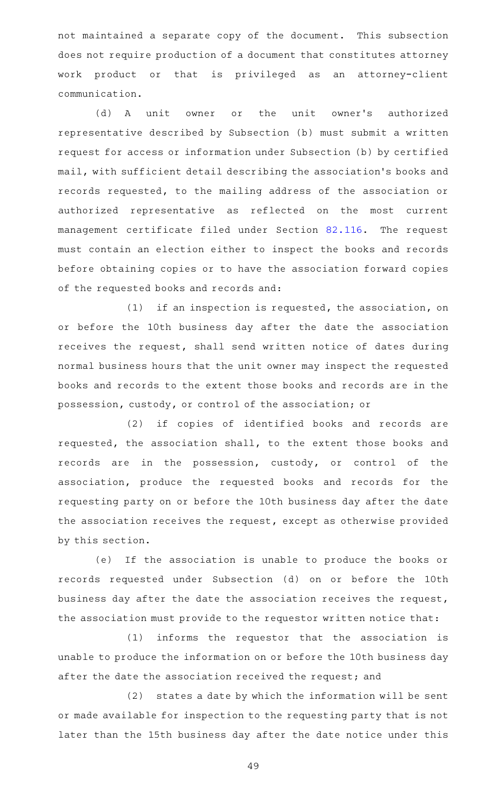not maintained a separate copy of the document. This subsection does not require production of a document that constitutes attorney work product or that is privileged as an attorney-client communication.

(d) A unit owner or the unit owner's authorized representative described by Subsection (b) must submit a written request for access or information under Subsection (b) by certified mail, with sufficient detail describing the association 's books and records requested, to the mailing address of the association or authorized representative as reflected on the most current management certificate filed under Section [82.116.](http://www.statutes.legis.state.tx.us/GetStatute.aspx?Code=PR&Value=82.116) The request must contain an election either to inspect the books and records before obtaining copies or to have the association forward copies of the requested books and records and:

 $(1)$  if an inspection is requested, the association, on or before the 10th business day after the date the association receives the request, shall send written notice of dates during normal business hours that the unit owner may inspect the requested books and records to the extent those books and records are in the possession, custody, or control of the association; or

(2) if copies of identified books and records are requested, the association shall, to the extent those books and records are in the possession, custody, or control of the association, produce the requested books and records for the requesting party on or before the 10th business day after the date the association receives the request, except as otherwise provided by this section.

(e) If the association is unable to produce the books or records requested under Subsection (d) on or before the 10th business day after the date the association receives the request, the association must provide to the requestor written notice that:

 $(1)$  informs the requestor that the association is unable to produce the information on or before the 10th business day after the date the association received the request; and

 $(2)$  states a date by which the information will be sent or made available for inspection to the requesting party that is not later than the 15th business day after the date notice under this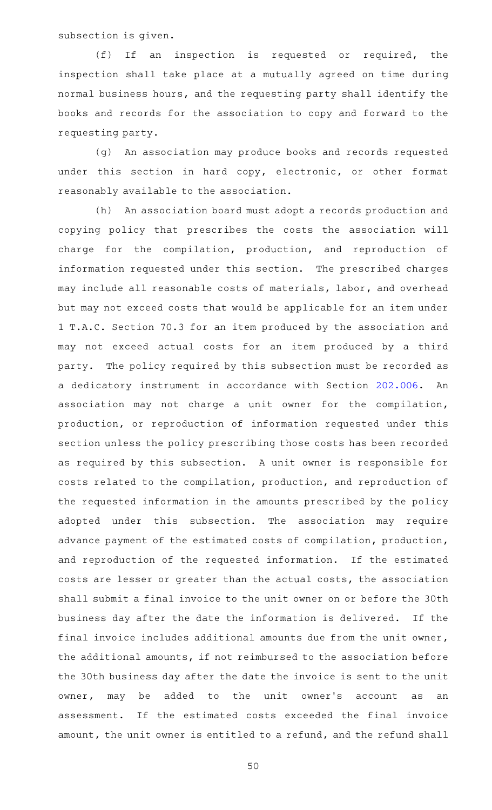subsection is given.

 $(f)$  If an inspection is requested or required, the inspection shall take place at a mutually agreed on time during normal business hours, and the requesting party shall identify the books and records for the association to copy and forward to the requesting party.

(g) An association may produce books and records requested under this section in hard copy, electronic, or other format reasonably available to the association.

(h) An association board must adopt a records production and copying policy that prescribes the costs the association will charge for the compilation, production, and reproduction of information requested under this section. The prescribed charges may include all reasonable costs of materials, labor, and overhead but may not exceed costs that would be applicable for an item under 1 T.A.C. Section 70.3 for an item produced by the association and may not exceed actual costs for an item produced by a third party. The policy required by this subsection must be recorded as a dedicatory instrument in accordance with Section [202.006](http://www.statutes.legis.state.tx.us/GetStatute.aspx?Code=PR&Value=202.006). An association may not charge a unit owner for the compilation, production, or reproduction of information requested under this section unless the policy prescribing those costs has been recorded as required by this subsection. A unit owner is responsible for costs related to the compilation, production, and reproduction of the requested information in the amounts prescribed by the policy adopted under this subsection. The association may require advance payment of the estimated costs of compilation, production, and reproduction of the requested information. If the estimated costs are lesser or greater than the actual costs, the association shall submit a final invoice to the unit owner on or before the 30th business day after the date the information is delivered. If the final invoice includes additional amounts due from the unit owner, the additional amounts, if not reimbursed to the association before the 30th business day after the date the invoice is sent to the unit owner, may be added to the unit owner's account as an assessment. If the estimated costs exceeded the final invoice amount, the unit owner is entitled to a refund, and the refund shall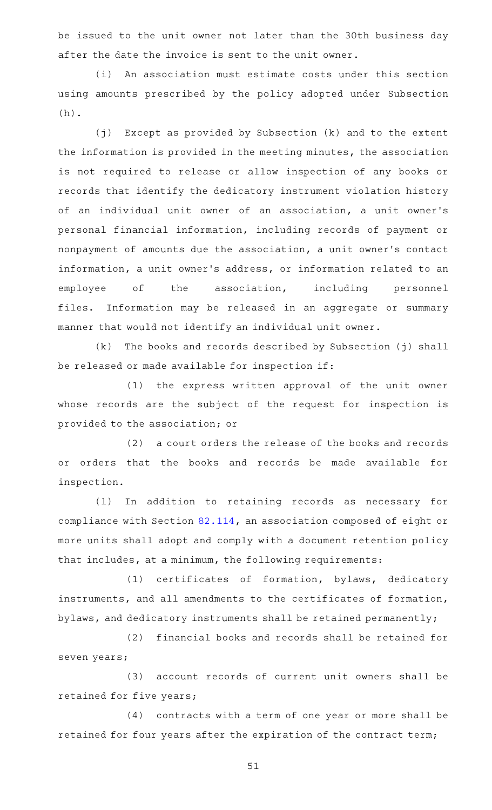be issued to the unit owner not later than the 30th business day after the date the invoice is sent to the unit owner.

(i) An association must estimate costs under this section using amounts prescribed by the policy adopted under Subsection (h).

(j) Except as provided by Subsection (k) and to the extent the information is provided in the meeting minutes, the association is not required to release or allow inspection of any books or records that identify the dedicatory instrument violation history of an individual unit owner of an association, a unit owner 's personal financial information, including records of payment or nonpayment of amounts due the association, a unit owner 's contact information, a unit owner 's address, or information related to an employee of the association, including personnel files. Information may be released in an aggregate or summary manner that would not identify an individual unit owner.

 $(k)$  The books and records described by Subsection (j) shall be released or made available for inspection if:

(1) the express written approval of the unit owner whose records are the subject of the request for inspection is provided to the association; or

(2) a court orders the release of the books and records or orders that the books and records be made available for inspection.

(1) In addition to retaining records as necessary for compliance with Section [82.114,](http://www.statutes.legis.state.tx.us/GetStatute.aspx?Code=PR&Value=82.114) an association composed of eight or more units shall adopt and comply with a document retention policy that includes, at a minimum, the following requirements:

(1) certificates of formation, bylaws, dedicatory instruments, and all amendments to the certificates of formation, bylaws, and dedicatory instruments shall be retained permanently;

(2) financial books and records shall be retained for seven years;

(3) account records of current unit owners shall be retained for five years;

(4) contracts with a term of one year or more shall be retained for four years after the expiration of the contract term;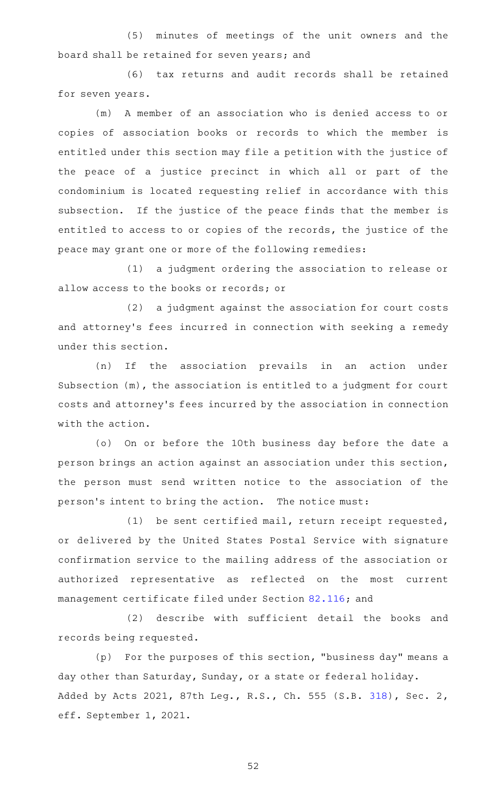(5) minutes of meetings of the unit owners and the board shall be retained for seven years; and

(6) tax returns and audit records shall be retained for seven years.

(m)AAA member of an association who is denied access to or copies of association books or records to which the member is entitled under this section may file a petition with the justice of the peace of a justice precinct in which all or part of the condominium is located requesting relief in accordance with this subsection. If the justice of the peace finds that the member is entitled to access to or copies of the records, the justice of the peace may grant one or more of the following remedies:

(1) a judgment ordering the association to release or allow access to the books or records; or

(2) a judgment against the association for court costs and attorney's fees incurred in connection with seeking a remedy under this section.

(n) If the association prevails in an action under Subsection (m), the association is entitled to a judgment for court costs and attorney 's fees incurred by the association in connection with the action.

(o) On or before the 10th business day before the date a person brings an action against an association under this section, the person must send written notice to the association of the person's intent to bring the action. The notice must:

(1) be sent certified mail, return receipt requested, or delivered by the United States Postal Service with signature confirmation service to the mailing address of the association or authorized representative as reflected on the most current management certificate filed under Section [82.116](http://www.statutes.legis.state.tx.us/GetStatute.aspx?Code=PR&Value=82.116); and

(2) describe with sufficient detail the books and records being requested.

 $(p)$  For the purposes of this section, "business day" means a day other than Saturday, Sunday, or a state or federal holiday. Added by Acts 2021, 87th Leg., R.S., Ch. 555 (S.B. [318](http://www.legis.state.tx.us/tlodocs/87R/billtext/html/SB00318F.HTM)), Sec. 2, eff. September 1, 2021.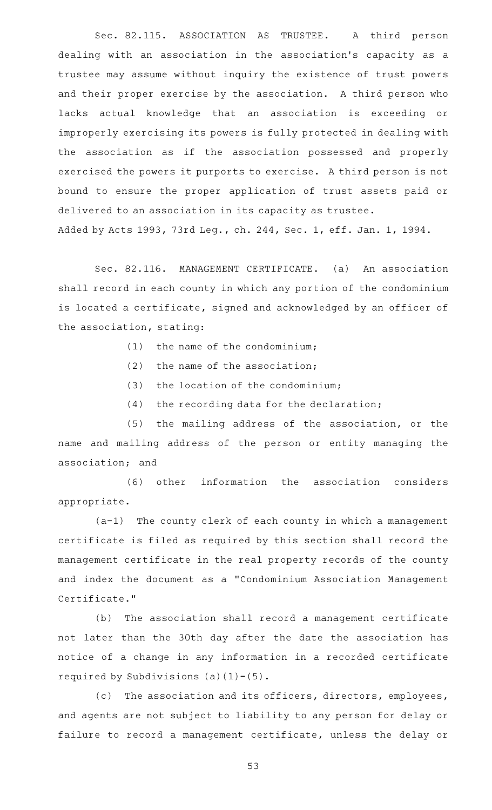Sec. 82.115. ASSOCIATION AS TRUSTEE. A third person dealing with an association in the association 's capacity as a trustee may assume without inquiry the existence of trust powers and their proper exercise by the association. A third person who lacks actual knowledge that an association is exceeding or improperly exercising its powers is fully protected in dealing with the association as if the association possessed and properly exercised the powers it purports to exercise. A third person is not bound to ensure the proper application of trust assets paid or delivered to an association in its capacity as trustee. Added by Acts 1993, 73rd Leg., ch. 244, Sec. 1, eff. Jan. 1, 1994.

Sec. 82.116. MANAGEMENT CERTIFICATE. (a) An association shall record in each county in which any portion of the condominium is located a certificate, signed and acknowledged by an officer of the association, stating:

- $(1)$  the name of the condominium;
- $(2)$  the name of the association;
- $(3)$  the location of the condominium;
- $(4)$  the recording data for the declaration;

 $(5)$  the mailing address of the association, or the name and mailing address of the person or entity managing the association; and

(6) other information the association considers appropriate.

 $(a-1)$  The county clerk of each county in which a management certificate is filed as required by this section shall record the management certificate in the real property records of the county and index the document as a "Condominium Association Management Certificate."

(b) The association shall record a management certificate not later than the 30th day after the date the association has notice of a change in any information in a recorded certificate required by Subdivisions  $(a)(1)-(5)$ .

(c) The association and its officers, directors, employees, and agents are not subject to liability to any person for delay or failure to record a management certificate, unless the delay or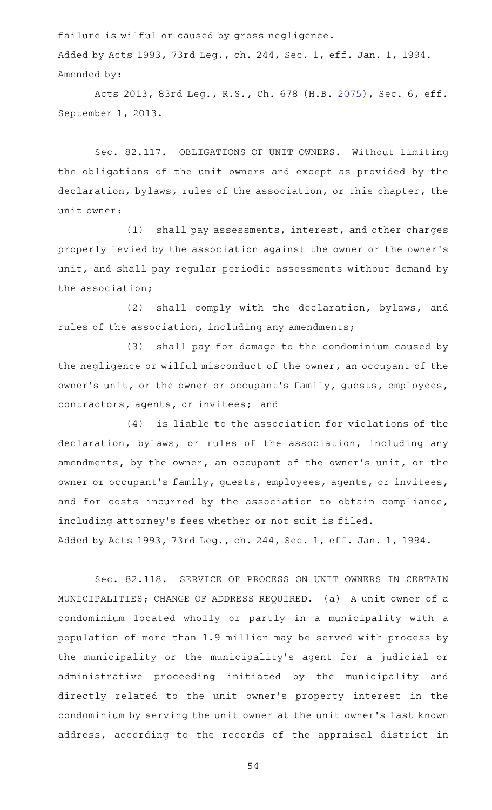failure is wilful or caused by gross negligence.

Added by Acts 1993, 73rd Leg., ch. 244, Sec. 1, eff. Jan. 1, 1994. Amended by:

Acts 2013, 83rd Leg., R.S., Ch. 678 (H.B. [2075](http://www.legis.state.tx.us/tlodocs/83R/billtext/html/HB02075F.HTM)), Sec. 6, eff. September 1, 2013.

Sec. 82.117. OBLIGATIONS OF UNIT OWNERS. Without limiting the obligations of the unit owners and except as provided by the declaration, bylaws, rules of the association, or this chapter, the unit owner:

 $(1)$  shall pay assessments, interest, and other charges properly levied by the association against the owner or the owner 's unit, and shall pay regular periodic assessments without demand by the association;

(2) shall comply with the declaration, bylaws, and rules of the association, including any amendments;

(3) shall pay for damage to the condominium caused by the negligence or wilful misconduct of the owner, an occupant of the owner 's unit, or the owner or occupant 's family, guests, employees, contractors, agents, or invitees; and

 $(4)$  is liable to the association for violations of the declaration, bylaws, or rules of the association, including any amendments, by the owner, an occupant of the owner 's unit, or the owner or occupant 's family, guests, employees, agents, or invitees, and for costs incurred by the association to obtain compliance, including attorney 's fees whether or not suit is filed. Added by Acts 1993, 73rd Leg., ch. 244, Sec. 1, eff. Jan. 1, 1994.

Sec. 82.118. SERVICE OF PROCESS ON UNIT OWNERS IN CERTAIN MUNICIPALITIES; CHANGE OF ADDRESS REQUIRED. (a) A unit owner of a condominium located wholly or partly in a municipality with a population of more than 1.9 million may be served with process by the municipality or the municipality's agent for a judicial or administrative proceeding initiated by the municipality and directly related to the unit owner 's property interest in the condominium by serving the unit owner at the unit owner 's last known address, according to the records of the appraisal district in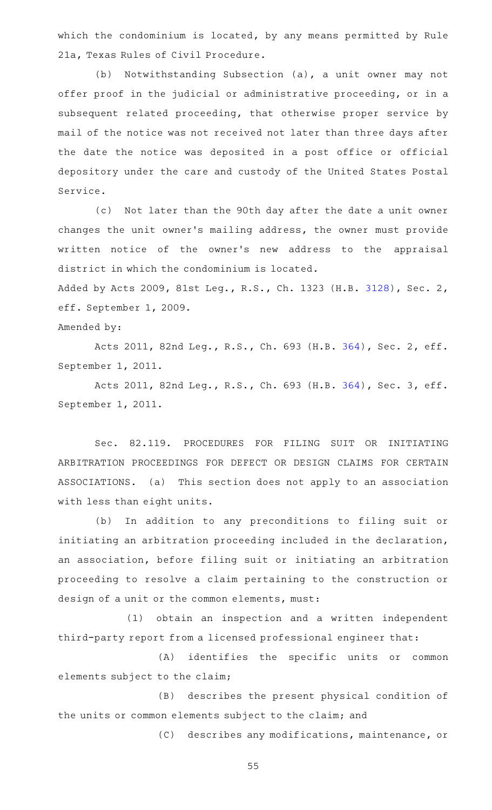which the condominium is located, by any means permitted by Rule 21a, Texas Rules of Civil Procedure.

(b) Notwithstanding Subsection (a), a unit owner may not offer proof in the judicial or administrative proceeding, or in a subsequent related proceeding, that otherwise proper service by mail of the notice was not received not later than three days after the date the notice was deposited in a post office or official depository under the care and custody of the United States Postal Service.

(c) Not later than the 90th day after the date a unit owner changes the unit owner 's mailing address, the owner must provide written notice of the owner's new address to the appraisal district in which the condominium is located.

Added by Acts 2009, 81st Leg., R.S., Ch. 1323 (H.B. [3128\)](http://www.legis.state.tx.us/tlodocs/81R/billtext/html/HB03128F.HTM), Sec. 2, eff. September 1, 2009.

### Amended by:

Acts 2011, 82nd Leg., R.S., Ch. 693 (H.B. [364](http://www.legis.state.tx.us/tlodocs/82R/billtext/html/HB00364F.HTM)), Sec. 2, eff. September 1, 2011.

Acts 2011, 82nd Leg., R.S., Ch. 693 (H.B. [364](http://www.legis.state.tx.us/tlodocs/82R/billtext/html/HB00364F.HTM)), Sec. 3, eff. September 1, 2011.

Sec. 82.119. PROCEDURES FOR FILING SUIT OR INITIATING ARBITRATION PROCEEDINGS FOR DEFECT OR DESIGN CLAIMS FOR CERTAIN ASSOCIATIONS. (a) This section does not apply to an association with less than eight units.

(b) In addition to any preconditions to filing suit or initiating an arbitration proceeding included in the declaration, an association, before filing suit or initiating an arbitration proceeding to resolve a claim pertaining to the construction or design of a unit or the common elements, must:

(1) obtain an inspection and a written independent third-party report from a licensed professional engineer that:

(A) identifies the specific units or common elements subject to the claim;

(B) describes the present physical condition of the units or common elements subject to the claim; and

(C) describes any modifications, maintenance, or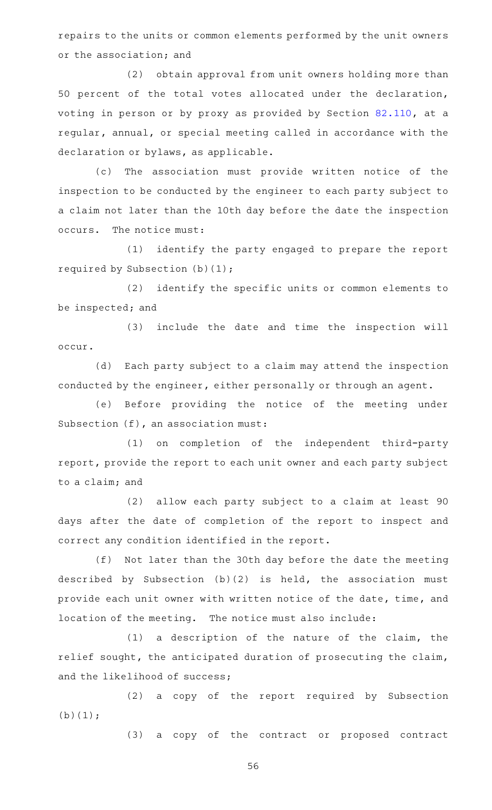repairs to the units or common elements performed by the unit owners or the association; and

(2) obtain approval from unit owners holding more than 50 percent of the total votes allocated under the declaration, voting in person or by proxy as provided by Section [82.110](http://www.statutes.legis.state.tx.us/GetStatute.aspx?Code=PR&Value=82.110), at a regular, annual, or special meeting called in accordance with the declaration or bylaws, as applicable.

(c) The association must provide written notice of the inspection to be conducted by the engineer to each party subject to a claim not later than the 10th day before the date the inspection occurs. The notice must:

(1) identify the party engaged to prepare the report required by Subsection (b)(1);

(2) identify the specific units or common elements to be inspected; and

(3) include the date and time the inspection will occur.

(d) Each party subject to a claim may attend the inspection conducted by the engineer, either personally or through an agent.

(e) Before providing the notice of the meeting under Subsection (f), an association must:

(1) on completion of the independent third-party report, provide the report to each unit owner and each party subject to a claim; and

(2) allow each party subject to a claim at least 90 days after the date of completion of the report to inspect and correct any condition identified in the report.

(f) Not later than the 30th day before the date the meeting described by Subsection (b)(2) is held, the association must provide each unit owner with written notice of the date, time, and location of the meeting. The notice must also include:

 $(1)$  a description of the nature of the claim, the relief sought, the anticipated duration of prosecuting the claim, and the likelihood of success;

(2) a copy of the report required by Subsection (b)(1);

(3) a copy of the contract or proposed contract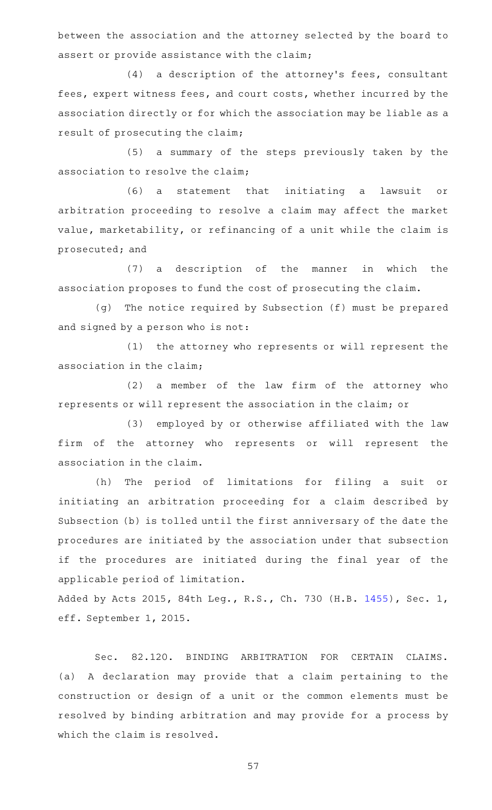between the association and the attorney selected by the board to assert or provide assistance with the claim;

(4) a description of the attorney's fees, consultant fees, expert witness fees, and court costs, whether incurred by the association directly or for which the association may be liable as a result of prosecuting the claim;

(5) a summary of the steps previously taken by the association to resolve the claim;

(6) a statement that initiating a lawsuit or arbitration proceeding to resolve a claim may affect the market value, marketability, or refinancing of a unit while the claim is prosecuted; and

(7) a description of the manner in which the association proposes to fund the cost of prosecuting the claim.

(g) The notice required by Subsection (f) must be prepared and signed by a person who is not:

(1) the attorney who represents or will represent the association in the claim;

 $(2)$  a member of the law firm of the attorney who represents or will represent the association in the claim; or

(3) employed by or otherwise affiliated with the law firm of the attorney who represents or will represent the association in the claim.

(h) The period of limitations for filing a suit or initiating an arbitration proceeding for a claim described by Subsection (b) is tolled until the first anniversary of the date the procedures are initiated by the association under that subsection if the procedures are initiated during the final year of the applicable period of limitation.

Added by Acts 2015, 84th Leg., R.S., Ch. 730 (H.B. [1455](http://www.legis.state.tx.us/tlodocs/84R/billtext/html/HB01455F.HTM)), Sec. 1, eff. September 1, 2015.

Sec. 82.120. BINDING ARBITRATION FOR CERTAIN CLAIMS. (a) A declaration may provide that a claim pertaining to the construction or design of a unit or the common elements must be resolved by binding arbitration and may provide for a process by which the claim is resolved.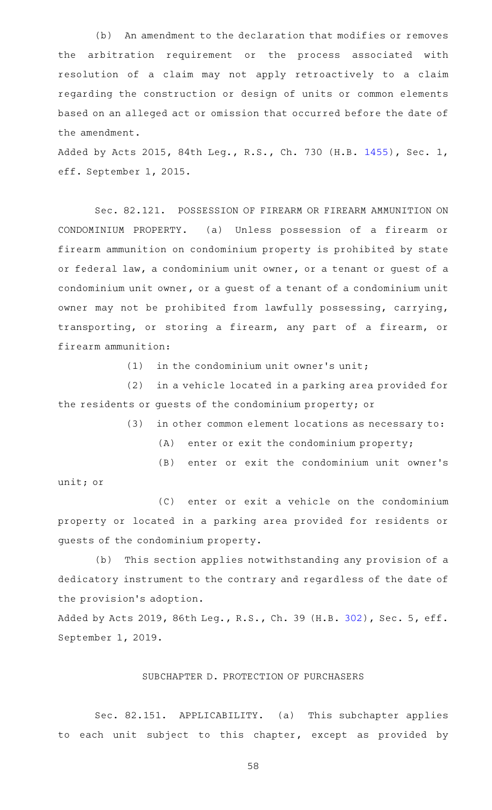(b) An amendment to the declaration that modifies or removes the arbitration requirement or the process associated with resolution of a claim may not apply retroactively to a claim regarding the construction or design of units or common elements based on an alleged act or omission that occurred before the date of the amendment.

Added by Acts 2015, 84th Leg., R.S., Ch. 730 (H.B. [1455](http://www.legis.state.tx.us/tlodocs/84R/billtext/html/HB01455F.HTM)), Sec. 1, eff. September 1, 2015.

Sec. 82.121. POSSESSION OF FIREARM OR FIREARM AMMUNITION ON CONDOMINIUM PROPERTY. (a) Unless possession of a firearm or firearm ammunition on condominium property is prohibited by state or federal law, a condominium unit owner, or a tenant or guest of a condominium unit owner, or a guest of a tenant of a condominium unit owner may not be prohibited from lawfully possessing, carrying, transporting, or storing a firearm, any part of a firearm, or firearm ammunition:

 $(1)$  in the condominium unit owner's unit;

(2) in a vehicle located in a parking area provided for the residents or guests of the condominium property; or

(3) in other common element locations as necessary to:

 $(A)$  enter or exit the condominium property;

(B) enter or exit the condominium unit owner's

unit; or

(C) enter or exit a vehicle on the condominium property or located in a parking area provided for residents or guests of the condominium property.

(b) This section applies notwithstanding any provision of a dedicatory instrument to the contrary and regardless of the date of the provision's adoption.

Added by Acts 2019, 86th Leg., R.S., Ch. 39 (H.B. [302](http://www.legis.state.tx.us/tlodocs/86R/billtext/html/HB00302F.HTM)), Sec. 5, eff. September 1, 2019.

# SUBCHAPTER D. PROTECTION OF PURCHASERS

Sec. 82.151. APPLICABILITY. (a) This subchapter applies to each unit subject to this chapter, except as provided by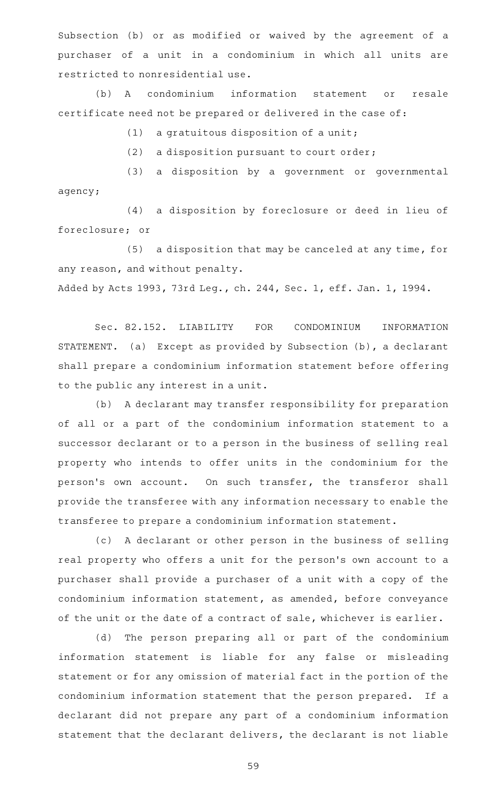Subsection (b) or as modified or waived by the agreement of a purchaser of a unit in a condominium in which all units are restricted to nonresidential use.

(b) A condominium information statement or resale certificate need not be prepared or delivered in the case of:

 $(1)$  a gratuitous disposition of a unit;

 $(2)$  a disposition pursuant to court order;

(3) a disposition by a government or governmental agency;

(4) a disposition by foreclosure or deed in lieu of foreclosure; or

(5) a disposition that may be canceled at any time, for any reason, and without penalty. Added by Acts 1993, 73rd Leg., ch. 244, Sec. 1, eff. Jan. 1, 1994.

Sec. 82.152. LIABILITY FOR CONDOMINIUM INFORMATION STATEMENT. (a) Except as provided by Subsection (b), a declarant shall prepare a condominium information statement before offering

to the public any interest in a unit.

(b) A declarant may transfer responsibility for preparation of all or a part of the condominium information statement to a successor declarant or to a person in the business of selling real property who intends to offer units in the condominium for the person's own account. On such transfer, the transferor shall provide the transferee with any information necessary to enable the transferee to prepare a condominium information statement.

(c)AAA declarant or other person in the business of selling real property who offers a unit for the person's own account to a purchaser shall provide a purchaser of a unit with a copy of the condominium information statement, as amended, before conveyance of the unit or the date of a contract of sale, whichever is earlier.

(d) The person preparing all or part of the condominium information statement is liable for any false or misleading statement or for any omission of material fact in the portion of the condominium information statement that the person prepared. If a declarant did not prepare any part of a condominium information statement that the declarant delivers, the declarant is not liable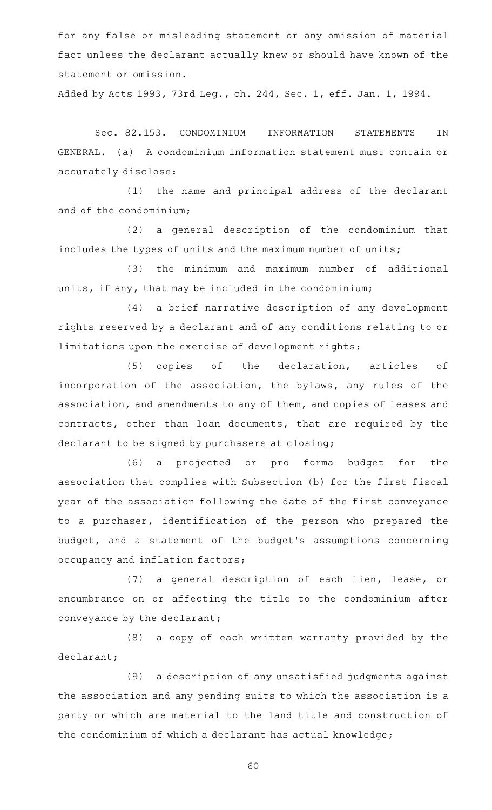for any false or misleading statement or any omission of material fact unless the declarant actually knew or should have known of the statement or omission.

Added by Acts 1993, 73rd Leg., ch. 244, Sec. 1, eff. Jan. 1, 1994.

Sec. 82.153. CONDOMINIUM INFORMATION STATEMENTS IN GENERAL. (a) A condominium information statement must contain or accurately disclose:

(1) the name and principal address of the declarant and of the condominium;

(2) a general description of the condominium that includes the types of units and the maximum number of units;

(3) the minimum and maximum number of additional units, if any, that may be included in the condominium;

(4) a brief narrative description of any development rights reserved by a declarant and of any conditions relating to or limitations upon the exercise of development rights;

(5) copies of the declaration, articles of incorporation of the association, the bylaws, any rules of the association, and amendments to any of them, and copies of leases and contracts, other than loan documents, that are required by the declarant to be signed by purchasers at closing;

(6) a projected or pro forma budget for the association that complies with Subsection (b) for the first fiscal year of the association following the date of the first conveyance to a purchaser, identification of the person who prepared the budget, and a statement of the budget 's assumptions concerning occupancy and inflation factors;

(7) a general description of each lien, lease, or encumbrance on or affecting the title to the condominium after conveyance by the declarant;

(8) a copy of each written warranty provided by the declarant;

(9) a description of any unsatisfied judgments against the association and any pending suits to which the association is a party or which are material to the land title and construction of the condominium of which a declarant has actual knowledge;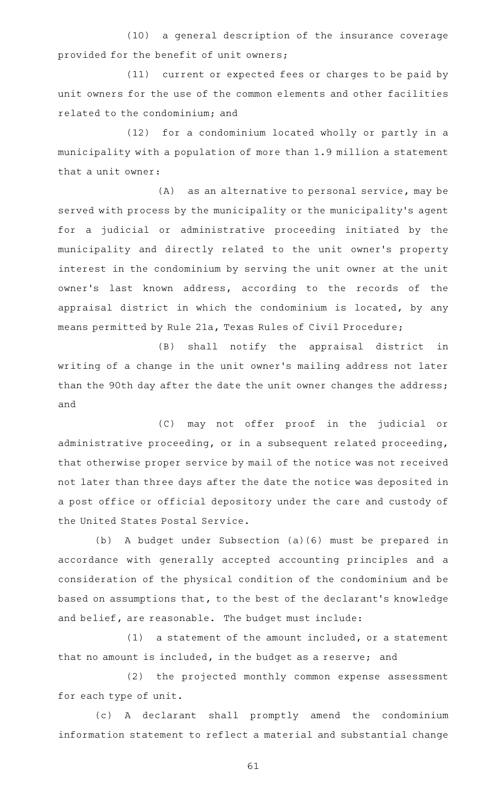(10) a general description of the insurance coverage provided for the benefit of unit owners;

(11) current or expected fees or charges to be paid by unit owners for the use of the common elements and other facilities related to the condominium; and

(12) for a condominium located wholly or partly in a municipality with a population of more than 1.9 million a statement that a unit owner:

(A) as an alternative to personal service, may be served with process by the municipality or the municipality 's agent for a judicial or administrative proceeding initiated by the municipality and directly related to the unit owner 's property interest in the condominium by serving the unit owner at the unit owner's last known address, according to the records of the appraisal district in which the condominium is located, by any means permitted by Rule 21a, Texas Rules of Civil Procedure;

(B) shall notify the appraisal district in writing of a change in the unit owner 's mailing address not later than the 90th day after the date the unit owner changes the address; and

(C) may not offer proof in the judicial or administrative proceeding, or in a subsequent related proceeding, that otherwise proper service by mail of the notice was not received not later than three days after the date the notice was deposited in a post office or official depository under the care and custody of the United States Postal Service.

(b)AAA budget under Subsection (a)(6) must be prepared in accordance with generally accepted accounting principles and a consideration of the physical condition of the condominium and be based on assumptions that, to the best of the declarant 's knowledge and belief, are reasonable. The budget must include:

 $(1)$  a statement of the amount included, or a statement that no amount is included, in the budget as a reserve; and

(2) the projected monthly common expense assessment for each type of unit.

(c)AAA declarant shall promptly amend the condominium information statement to reflect a material and substantial change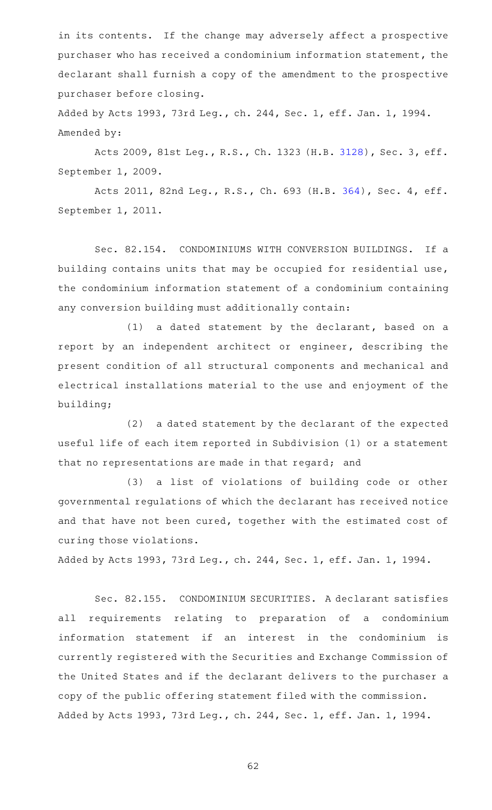in its contents. If the change may adversely affect a prospective purchaser who has received a condominium information statement, the declarant shall furnish a copy of the amendment to the prospective purchaser before closing.

Added by Acts 1993, 73rd Leg., ch. 244, Sec. 1, eff. Jan. 1, 1994. Amended by:

Acts 2009, 81st Leg., R.S., Ch. 1323 (H.B. [3128](http://www.legis.state.tx.us/tlodocs/81R/billtext/html/HB03128F.HTM)), Sec. 3, eff. September 1, 2009.

Acts 2011, 82nd Leg., R.S., Ch. 693 (H.B. [364](http://www.legis.state.tx.us/tlodocs/82R/billtext/html/HB00364F.HTM)), Sec. 4, eff. September 1, 2011.

Sec. 82.154. CONDOMINIUMS WITH CONVERSION BUILDINGS. If a building contains units that may be occupied for residential use, the condominium information statement of a condominium containing any conversion building must additionally contain:

 $(1)$  a dated statement by the declarant, based on a report by an independent architect or engineer, describing the present condition of all structural components and mechanical and electrical installations material to the use and enjoyment of the building;

(2) a dated statement by the declarant of the expected useful life of each item reported in Subdivision (1) or a statement that no representations are made in that regard; and

(3) a list of violations of building code or other governmental regulations of which the declarant has received notice and that have not been cured, together with the estimated cost of curing those violations.

Added by Acts 1993, 73rd Leg., ch. 244, Sec. 1, eff. Jan. 1, 1994.

Sec. 82.155. CONDOMINIUM SECURITIES. A declarant satisfies all requirements relating to preparation of a condominium information statement if an interest in the condominium is currently registered with the Securities and Exchange Commission of the United States and if the declarant delivers to the purchaser a copy of the public offering statement filed with the commission. Added by Acts 1993, 73rd Leg., ch. 244, Sec. 1, eff. Jan. 1, 1994.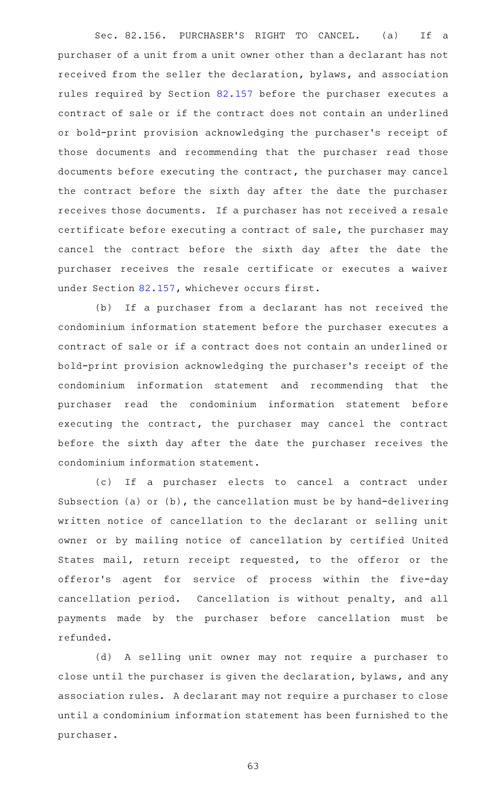Sec. 82.156. PURCHASER'S RIGHT TO CANCEL. (a) If a purchaser of a unit from a unit owner other than a declarant has not received from the seller the declaration, bylaws, and association rules required by Section [82.157](http://www.statutes.legis.state.tx.us/GetStatute.aspx?Code=PR&Value=82.157) before the purchaser executes a contract of sale or if the contract does not contain an underlined or bold-print provision acknowledging the purchaser 's receipt of those documents and recommending that the purchaser read those documents before executing the contract, the purchaser may cancel the contract before the sixth day after the date the purchaser receives those documents. If a purchaser has not received a resale certificate before executing a contract of sale, the purchaser may cancel the contract before the sixth day after the date the purchaser receives the resale certificate or executes a waiver under Section [82.157,](http://www.statutes.legis.state.tx.us/GetStatute.aspx?Code=PR&Value=82.157) whichever occurs first.

(b) If a purchaser from a declarant has not received the condominium information statement before the purchaser executes a contract of sale or if a contract does not contain an underlined or bold-print provision acknowledging the purchaser 's receipt of the condominium information statement and recommending that the purchaser read the condominium information statement before executing the contract, the purchaser may cancel the contract before the sixth day after the date the purchaser receives the condominium information statement.

(c) If a purchaser elects to cancel a contract under Subsection (a) or (b), the cancellation must be by hand-delivering written notice of cancellation to the declarant or selling unit owner or by mailing notice of cancellation by certified United States mail, return receipt requested, to the offeror or the offeror's agent for service of process within the five-day cancellation period. Cancellation is without penalty, and all payments made by the purchaser before cancellation must be refunded.

(d) A selling unit owner may not require a purchaser to close until the purchaser is given the declaration, bylaws, and any association rules. A declarant may not require a purchaser to close until a condominium information statement has been furnished to the purchaser.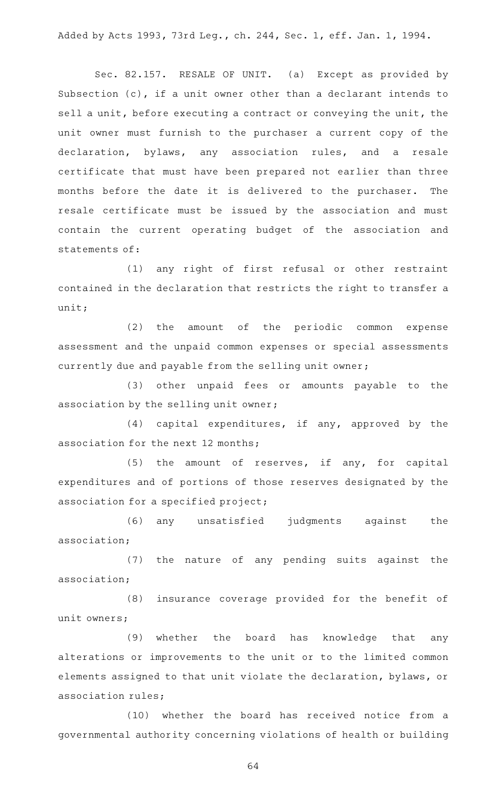Added by Acts 1993, 73rd Leg., ch. 244, Sec. 1, eff. Jan. 1, 1994.

Sec. 82.157. RESALE OF UNIT. (a) Except as provided by Subsection (c), if a unit owner other than a declarant intends to sell a unit, before executing a contract or conveying the unit, the unit owner must furnish to the purchaser a current copy of the declaration, bylaws, any association rules, and a resale certificate that must have been prepared not earlier than three months before the date it is delivered to the purchaser. The resale certificate must be issued by the association and must contain the current operating budget of the association and statements of:

(1) any right of first refusal or other restraint contained in the declaration that restricts the right to transfer a unit;

(2) the amount of the periodic common expense assessment and the unpaid common expenses or special assessments currently due and payable from the selling unit owner;

(3) other unpaid fees or amounts payable to the association by the selling unit owner;

 $(4)$  capital expenditures, if any, approved by the association for the next 12 months;

(5) the amount of reserves, if any, for capital expenditures and of portions of those reserves designated by the association for a specified project;

(6) any unsatisfied judgments against the association;

(7) the nature of any pending suits against the association;

(8) insurance coverage provided for the benefit of unit owners;

(9) whether the board has knowledge that any alterations or improvements to the unit or to the limited common elements assigned to that unit violate the declaration, bylaws, or association rules;

(10) whether the board has received notice from a governmental authority concerning violations of health or building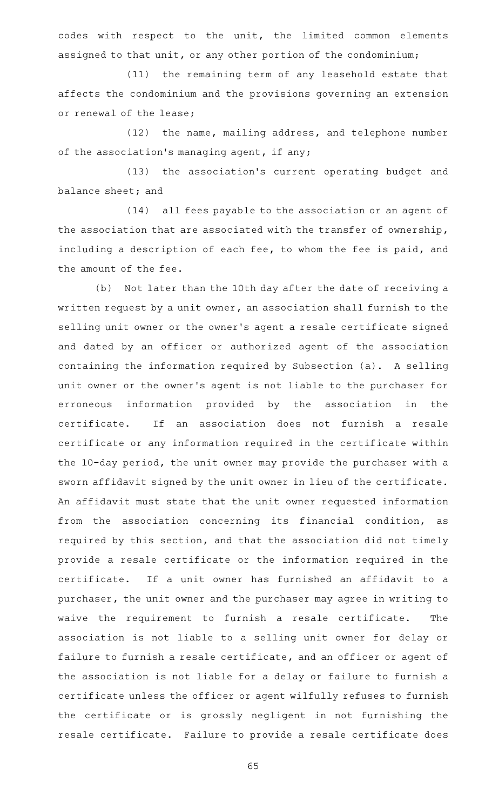codes with respect to the unit, the limited common elements assigned to that unit, or any other portion of the condominium;

(11) the remaining term of any leasehold estate that affects the condominium and the provisions governing an extension or renewal of the lease;

(12) the name, mailing address, and telephone number of the association 's managing agent, if any;

(13) the association's current operating budget and balance sheet; and

(14) all fees payable to the association or an agent of the association that are associated with the transfer of ownership, including a description of each fee, to whom the fee is paid, and the amount of the fee.

(b) Not later than the 10th day after the date of receiving a written request by a unit owner, an association shall furnish to the selling unit owner or the owner 's agent a resale certificate signed and dated by an officer or authorized agent of the association containing the information required by Subsection (a). A selling unit owner or the owner 's agent is not liable to the purchaser for erroneous information provided by the association in the certificate. If an association does not furnish a resale certificate or any information required in the certificate within the 10-day period, the unit owner may provide the purchaser with a sworn affidavit signed by the unit owner in lieu of the certificate. An affidavit must state that the unit owner requested information from the association concerning its financial condition, as required by this section, and that the association did not timely provide a resale certificate or the information required in the certificate. If a unit owner has furnished an affidavit to a purchaser, the unit owner and the purchaser may agree in writing to waive the requirement to furnish a resale certificate. The association is not liable to a selling unit owner for delay or failure to furnish a resale certificate, and an officer or agent of the association is not liable for a delay or failure to furnish a certificate unless the officer or agent wilfully refuses to furnish the certificate or is grossly negligent in not furnishing the resale certificate. Failure to provide a resale certificate does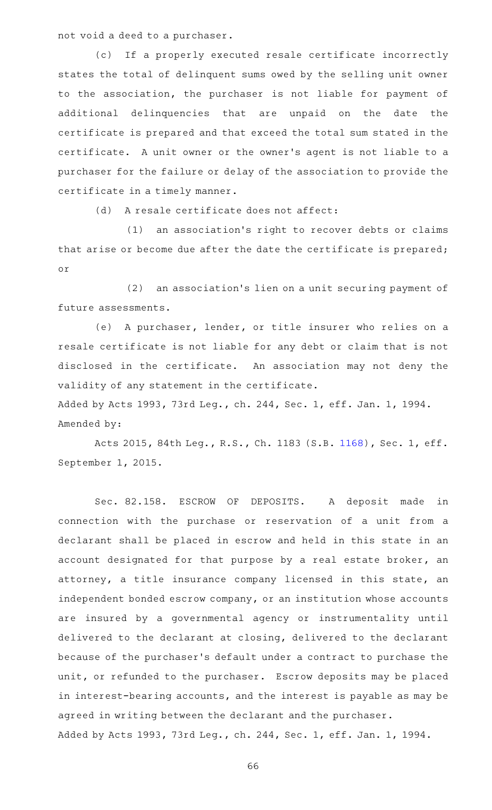not void a deed to a purchaser.

(c) If a properly executed resale certificate incorrectly states the total of delinquent sums owed by the selling unit owner to the association, the purchaser is not liable for payment of additional delinquencies that are unpaid on the date the certificate is prepared and that exceed the total sum stated in the certificate. A unit owner or the owner 's agent is not liable to a purchaser for the failure or delay of the association to provide the certificate in a timely manner.

(d) A resale certificate does not affect:

 $(1)$  an association's right to recover debts or claims that arise or become due after the date the certificate is prepared; or

(2) an association's lien on a unit securing payment of future assessments.

(e) A purchaser, lender, or title insurer who relies on a resale certificate is not liable for any debt or claim that is not disclosed in the certificate. An association may not deny the validity of any statement in the certificate.

Added by Acts 1993, 73rd Leg., ch. 244, Sec. 1, eff. Jan. 1, 1994. Amended by:

Acts 2015, 84th Leg., R.S., Ch. 1183 (S.B. [1168](http://www.legis.state.tx.us/tlodocs/84R/billtext/html/SB01168F.HTM)), Sec. 1, eff. September 1, 2015.

Sec. 82.158. ESCROW OF DEPOSITS. A deposit made in connection with the purchase or reservation of a unit from a declarant shall be placed in escrow and held in this state in an account designated for that purpose by a real estate broker, an attorney, a title insurance company licensed in this state, an independent bonded escrow company, or an institution whose accounts are insured by a governmental agency or instrumentality until delivered to the declarant at closing, delivered to the declarant because of the purchaser 's default under a contract to purchase the unit, or refunded to the purchaser. Escrow deposits may be placed in interest-bearing accounts, and the interest is payable as may be agreed in writing between the declarant and the purchaser. Added by Acts 1993, 73rd Leg., ch. 244, Sec. 1, eff. Jan. 1, 1994.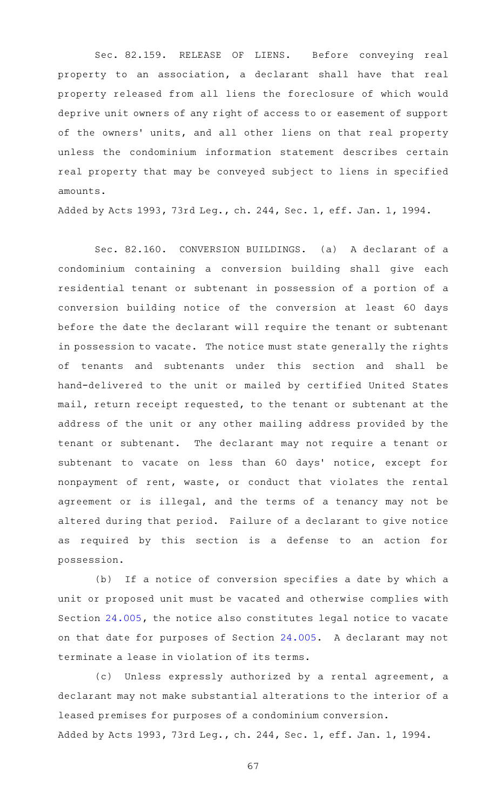Sec. 82.159. RELEASE OF LIENS. Before conveying real property to an association, a declarant shall have that real property released from all liens the foreclosure of which would deprive unit owners of any right of access to or easement of support of the owners' units, and all other liens on that real property unless the condominium information statement describes certain real property that may be conveyed subject to liens in specified amounts.

Added by Acts 1993, 73rd Leg., ch. 244, Sec. 1, eff. Jan. 1, 1994.

Sec. 82.160. CONVERSION BUILDINGS. (a) A declarant of a condominium containing a conversion building shall give each residential tenant or subtenant in possession of a portion of a conversion building notice of the conversion at least 60 days before the date the declarant will require the tenant or subtenant in possession to vacate. The notice must state generally the rights of tenants and subtenants under this section and shall be hand-delivered to the unit or mailed by certified United States mail, return receipt requested, to the tenant or subtenant at the address of the unit or any other mailing address provided by the tenant or subtenant. The declarant may not require a tenant or subtenant to vacate on less than 60 days' notice, except for nonpayment of rent, waste, or conduct that violates the rental agreement or is illegal, and the terms of a tenancy may not be altered during that period. Failure of a declarant to give notice as required by this section is a defense to an action for possession.

(b) If a notice of conversion specifies a date by which a unit or proposed unit must be vacated and otherwise complies with Section [24.005](http://www.statutes.legis.state.tx.us/GetStatute.aspx?Code=PR&Value=24.005), the notice also constitutes legal notice to vacate on that date for purposes of Section [24.005.](http://www.statutes.legis.state.tx.us/GetStatute.aspx?Code=PR&Value=24.005) A declarant may not terminate a lease in violation of its terms.

(c) Unless expressly authorized by a rental agreement, a declarant may not make substantial alterations to the interior of a leased premises for purposes of a condominium conversion. Added by Acts 1993, 73rd Leg., ch. 244, Sec. 1, eff. Jan. 1, 1994.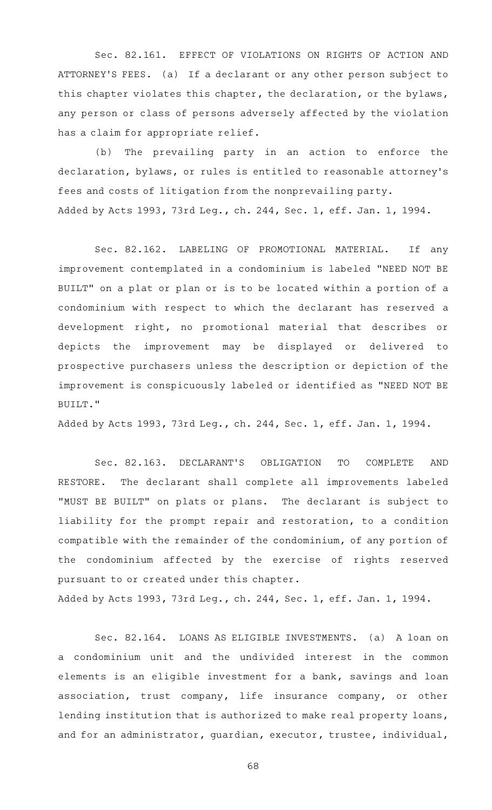Sec. 82.161. EFFECT OF VIOLATIONS ON RIGHTS OF ACTION AND ATTORNEY 'S FEES. (a) If a declarant or any other person subject to this chapter violates this chapter, the declaration, or the bylaws, any person or class of persons adversely affected by the violation has a claim for appropriate relief.

(b) The prevailing party in an action to enforce the declaration, bylaws, or rules is entitled to reasonable attorney 's fees and costs of litigation from the nonprevailing party. Added by Acts 1993, 73rd Leg., ch. 244, Sec. 1, eff. Jan. 1, 1994.

Sec. 82.162. LABELING OF PROMOTIONAL MATERIAL. If any improvement contemplated in a condominium is labeled "NEED NOT BE BUILT" on a plat or plan or is to be located within a portion of a condominium with respect to which the declarant has reserved a development right, no promotional material that describes or depicts the improvement may be displayed or delivered to prospective purchasers unless the description or depiction of the improvement is conspicuously labeled or identified as "NEED NOT BE BUILT."

Added by Acts 1993, 73rd Leg., ch. 244, Sec. 1, eff. Jan. 1, 1994.

Sec. 82.163. DECLARANT'S OBLIGATION TO COMPLETE AND RESTORE. The declarant shall complete all improvements labeled "MUST BE BUILT" on plats or plans. The declarant is subject to liability for the prompt repair and restoration, to a condition compatible with the remainder of the condominium, of any portion of the condominium affected by the exercise of rights reserved pursuant to or created under this chapter.

Added by Acts 1993, 73rd Leg., ch. 244, Sec. 1, eff. Jan. 1, 1994.

Sec. 82.164. LOANS AS ELIGIBLE INVESTMENTS. (a) A loan on a condominium unit and the undivided interest in the common elements is an eligible investment for a bank, savings and loan association, trust company, life insurance company, or other lending institution that is authorized to make real property loans, and for an administrator, guardian, executor, trustee, individual,